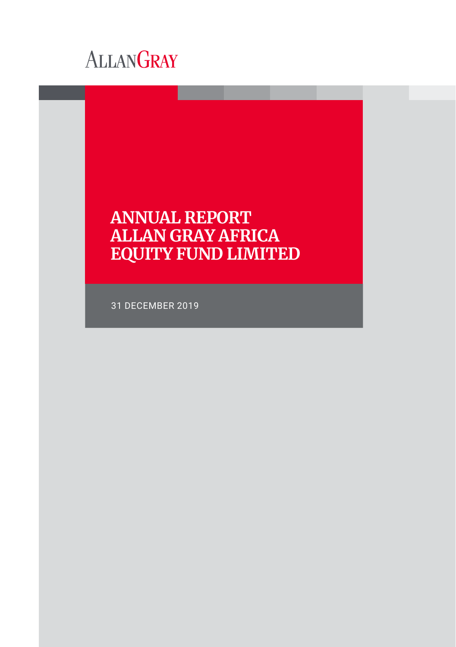

# **ANNUAL REPORT ALLAN GRAY AFRICA EQUITY FUND LIMITED**

31 DECEMBER 2019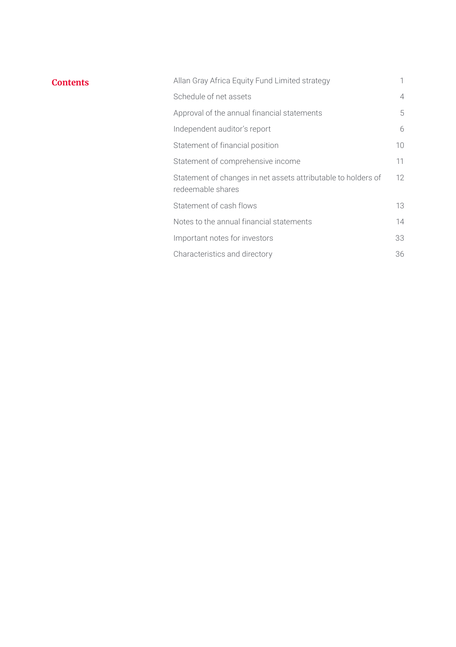# Contents **Contents**

| Allan Gray Africa Equity Fund Limited strategy                                     | 1              |
|------------------------------------------------------------------------------------|----------------|
| Schedule of net assets                                                             | $\overline{4}$ |
| Approval of the annual financial statements                                        | 5              |
| Independent auditor's report                                                       | 6              |
| Statement of financial position                                                    | 10             |
| Statement of comprehensive income                                                  | 11             |
| Statement of changes in net assets attributable to holders of<br>redeemable shares | 12             |
| Statement of cash flows                                                            | 13             |
| Notes to the annual financial statements                                           | 14             |
| Important notes for investors                                                      | 33             |
| Characteristics and directory                                                      | 36             |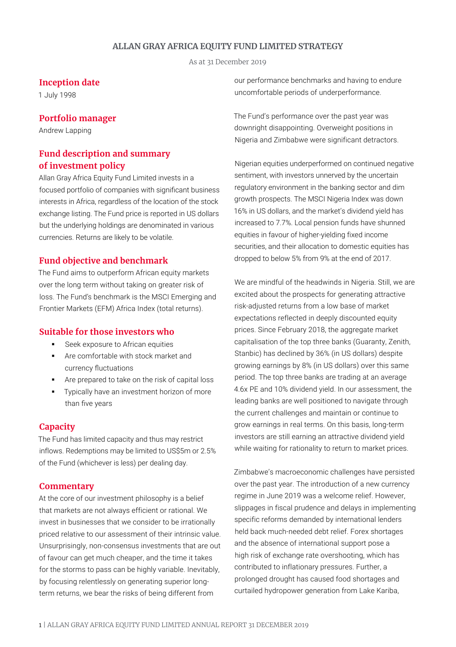### **ALLAN GRAY AFRICA EQUITY FUND LIMITED STRATEGY**

As at 31 December 2019

#### **Inception date**

1 July 1998

#### **Portfolio manager**

Andrew Lapping

# **Fund description and summary of investment policy**

Allan Gray Africa Equity Fund Limited invests in a focused portfolio of companies with significant business interests in Africa, regardless of the location of the stock exchange listing. The Fund price is reported in US dollars but the underlying holdings are denominated in various currencies. Returns are likely to be volatile.

# **Fund objective and benchmark**

The Fund aims to outperform African equity markets over the long term without taking on greater risk of loss. The Fund's benchmark is the MSCI Emerging and Frontier Markets (EFM) Africa Index (total returns).

### **Suitable for those investors who**

- **Seek exposure to African equities**
- Are comfortable with stock market and currency fluctuations
- Are prepared to take on the risk of capital loss
- **Typically have an investment horizon of more** than five years

### **Capacity**

The Fund has limited capacity and thus may restrict inflows. Redemptions may be limited to US\$5m or 2.5% of the Fund (whichever is less) per dealing day.

### **Commentary**

At the core of our investment philosophy is a belief that markets are not always efficient or rational. We invest in businesses that we consider to be irrationally priced relative to our assessment of their intrinsic value. Unsurprisingly, non-consensus investments that are out of favour can get much cheaper, and the time it takes for the storms to pass can be highly variable. Inevitably, by focusing relentlessly on generating superior longterm returns, we bear the risks of being different from

our performance benchmarks and having to endure uncomfortable periods of underperformance.

The Fund's performance over the past year was downright disappointing. Overweight positions in Nigeria and Zimbabwe were significant detractors.

Nigerian equities underperformed on continued negative sentiment, with investors unnerved by the uncertain regulatory environment in the banking sector and dim growth prospects. The MSCI Nigeria Index was down 16% in US dollars, and the market's dividend yield has increased to 7.7%. Local pension funds have shunned equities in favour of higher-yielding fixed income securities, and their allocation to domestic equities has dropped to below 5% from 9% at the end of 2017.

We are mindful of the headwinds in Nigeria. Still, we are excited about the prospects for generating attractive risk-adjusted returns from a low base of market expectations reflected in deeply discounted equity prices. Since February 2018, the aggregate market capitalisation of the top three banks (Guaranty, Zenith, Stanbic) has declined by 36% (in US dollars) despite growing earnings by 8% (in US dollars) over this same period. The top three banks are trading at an average 4.6x PE and 10% dividend yield. In our assessment, the leading banks are well positioned to navigate through the current challenges and maintain or continue to grow earnings in real terms. On this basis, long-term investors are still earning an attractive dividend yield while waiting for rationality to return to market prices.

Zimbabwe's macroeconomic challenges have persisted over the past year. The introduction of a new currency regime in June 2019 was a welcome relief. However, slippages in fiscal prudence and delays in implementing specific reforms demanded by international lenders held back much-needed debt relief. Forex shortages and the absence of international support pose a high risk of exchange rate overshooting, which has contributed to inflationary pressures. Further, a prolonged drought has caused food shortages and curtailed hydropower generation from Lake Kariba,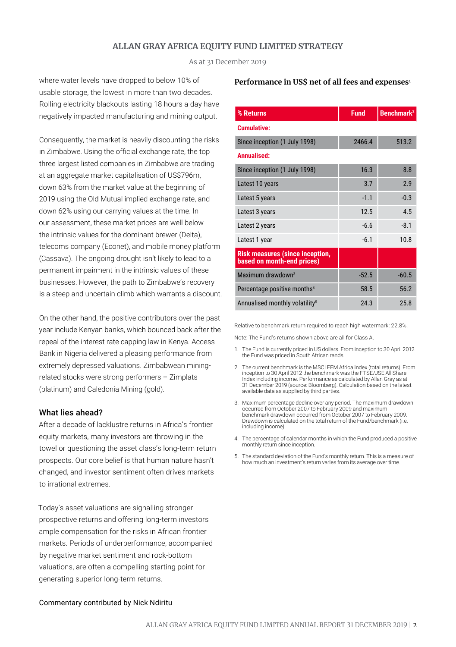### **ALLAN GRAY AFRICA EQUITY FUND LIMITED STRATEGY**

As at 31 December 2019

where water levels have dropped to below 10% of usable storage, the lowest in more than two decades. Rolling electricity blackouts lasting 18 hours a day have negatively impacted manufacturing and mining output.

Consequently, the market is heavily discounting the risks in Zimbabwe. Using the official exchange rate, the top three largest listed companies in Zimbabwe are trading at an aggregate market capitalisation of US\$796m, down 63% from the market value at the beginning of 2019 using the Old Mutual implied exchange rate, and down 62% using our carrying values at the time. In our assessment, these market prices are well below the intrinsic values for the dominant brewer (Delta), telecoms company (Econet), and mobile money platform (Cassava). The ongoing drought isn't likely to lead to a permanent impairment in the intrinsic values of these businesses. However, the path to Zimbabwe's recovery is a steep and uncertain climb which warrants a discount.

On the other hand, the positive contributors over the past year include Kenyan banks, which bounced back after the repeal of the interest rate capping law in Kenya. Access Bank in Nigeria delivered a pleasing performance from extremely depressed valuations. Zimbabwean miningrelated stocks were strong performers – Zimplats (platinum) and Caledonia Mining (gold).

#### What lies ahead?

After a decade of lacklustre returns in Africa's frontier equity markets, many investors are throwing in the towel or questioning the asset class's long-term return prospects. Our core belief is that human nature hasn't changed, and investor sentiment often drives markets to irrational extremes.

Today's asset valuations are signalling stronger prospective returns and offering long-term investors ample compensation for the risks in African frontier markets. Periods of underperformance, accompanied by negative market sentiment and rock-bottom valuations, are often a compelling starting point for generating superior long-term returns.

#### Performance in US\$ net of all fees and expenses<sup>1</sup>

| % Returns                                                            | <b>Fund</b> | <b>Benchmark<sup>2</sup></b> |
|----------------------------------------------------------------------|-------------|------------------------------|
| <b>Cumulative:</b>                                                   |             |                              |
| Since inception (1 July 1998)                                        | 2466.4      | 513.2                        |
| Annualised:                                                          |             |                              |
| Since inception (1 July 1998)                                        | 16.3        | 8.8                          |
| Latest 10 years                                                      | 3.7         | 2.9                          |
| Latest 5 years                                                       | $-1.1$      | $-0.3$                       |
| Latest 3 years                                                       | 12.5        | 4.5                          |
| Latest 2 years                                                       | $-6.6$      | $-8.1$                       |
| Latest 1 year                                                        | $-6.1$      | 10.8                         |
| <b>Risk measures (since inception,</b><br>based on month-end prices) |             |                              |
| Maximum drawdown <sup>3</sup>                                        | $-52.5$     | $-60.5$                      |
| Percentage positive months <sup>4</sup>                              | 58.5        | 56.2                         |
| Annualised monthly volatility <sup>5</sup>                           | 24.3        | 25.8                         |

Relative to benchmark return required to reach high watermark: 22.8%.

Note: The Fund's returns shown above are all for Class A.

- 1. The Fund is currently priced in US dollars. From inception to 30 April 2012 the Fund was priced in South African rands.
- 2. The current benchmark is the MSCI EFM Africa Index (total returns). From inception to 30 April 2012 the benchmark was the FTSE/JSE All Share Index including income. Performance as calculated by Allan Gray as at 31 December 2019 (source: Bloomberg). Calculation based on the latest available data as supplied by third parties.
- 3. Maximum percentage decline over any period. The maximum drawdown occurred from October 2007 to February 2009 and maximum benchmark drawdown occurred from October 2007 to February 2009. Drawdown is calculated on the total return of the Fund/benchmark (i.e. including income).
- 4. The percentage of calendar months in which the Fund produced a positive monthly return since inception.
- 5. The standard deviation of the Fund's monthly return. This is a measure of how much an investment's return varies from its average over time.

#### Commentary contributed by Nick Ndiritu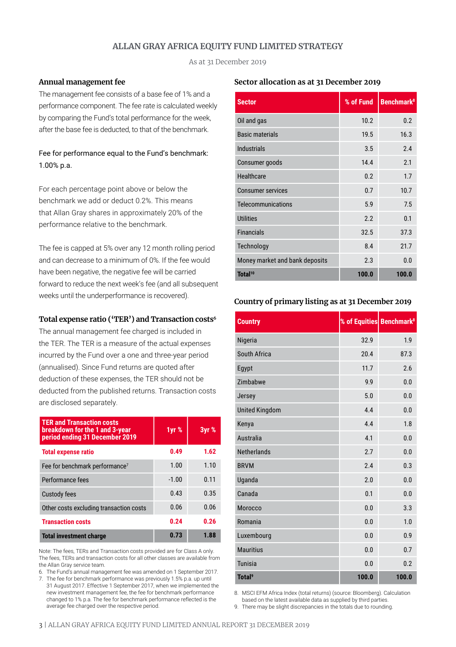# **ALLAN GRAY AFRICA EQUITY FUND LIMITED STRATEGY**

As at 31 December 2019

#### **Annual management fee**

The management fee consists of a base fee of 1% and a performance component. The fee rate is calculated weekly by comparing the Fund's total performance for the week, after the base fee is deducted, to that of the benchmark.

# Fee for performance equal to the Fund's benchmark: 1.00% p.a.

For each percentage point above or below the benchmark we add or deduct 0.2%. This means that Allan Gray shares in approximately 20% of the performance relative to the benchmark.

The fee is capped at 5% over any 12 month rolling period and can decrease to a minimum of 0%. If the fee would have been negative, the negative fee will be carried forward to reduce the next week's fee (and all subsequent weeks until the underperformance is recovered).

#### **Total expense ratio ('TER') and Transaction costs6**

The annual management fee charged is included in the TER. The TER is a measure of the actual expenses incurred by the Fund over a one and three-year period (annualised). Since Fund returns are quoted after deduction of these expenses, the TER should not be deducted from the published returns. Transaction costs are disclosed separately.

| <b>TER and Transaction costs</b><br>breakdown for the 1 and 3-year<br>period ending 31 December 2019 | 1yr %   | 3yr % |
|------------------------------------------------------------------------------------------------------|---------|-------|
| <b>Total expense ratio</b>                                                                           | 0.49    | 1.62  |
| Fee for benchmark performance <sup>7</sup>                                                           | 1.00    | 1.10  |
| Performance fees                                                                                     | $-1.00$ | 0.11  |
| <b>Custody fees</b>                                                                                  | 0.43    | 0.35  |
| Other costs excluding transaction costs                                                              | 0.06    | 0.06  |
| <b>Transaction costs</b>                                                                             | 0.24    | 0.26  |
| <b>Total investment charge</b>                                                                       | 0.73    | 1.88  |

Note: The fees, TERs and Transaction costs provided are for Class A only. The fees, TERs and transaction costs for all other classes are available from the Allan Gray service team.

- 6. The Fund's annual management fee was amended on 1 September 2017.
- 7. The fee for benchmark performance was previously 1.5% p.a. up until 31 August 2017. Effective 1 September 2017, when we implemented the new investment management fee, the fee for benchmark performance changed to 1% p.a. The fee for benchmark performance reflected is the average fee charged over the respective period.

#### **Sector allocation as at 31 December 2019**

| <b>Sector</b>                  | % of Fund | <b>Benchmark<sup>8</sup></b> |
|--------------------------------|-----------|------------------------------|
| Oil and gas                    | 10.2      | 0.2                          |
| <b>Basic materials</b>         | 19.5      | 16.3                         |
| <b>Industrials</b>             | 3.5       | 2.4                          |
| Consumer goods                 | 14.4      | 2.1                          |
| Healthcare                     | 0.2       | 1.7                          |
| <b>Consumer services</b>       | 0.7       | 10.7                         |
| <b>Telecommunications</b>      | 5.9       | 7.5                          |
| <b>Utilities</b>               | 2.2       | 0.1                          |
| <b>Financials</b>              | 32.5      | 37.3                         |
| Technology                     | 8.4       | 21.7                         |
| Money market and bank deposits | 2.3       | 0.0                          |
| Total <sup>10</sup>            | 100.0     | 100.0                        |

### **Country of primary listing as at 31 December 2019**

| <b>Country</b>            | % of Equities Benchmark <sup>8</sup> |       |
|---------------------------|--------------------------------------|-------|
| Nigeria                   | 32.9                                 | 1.9   |
| South Africa              | 20.4                                 | 87.3  |
| Egypt                     | 11.7                                 | 2.6   |
| Zimbabwe                  | 9.9                                  | 0.0   |
| Jersey                    | 5.0                                  | 0.0   |
| <b>United Kingdom</b>     | 4.4                                  | 0.0   |
| Kenya                     | 4.4                                  | 1.8   |
| <b>Australia</b>          | 4.1                                  | 0.0   |
| <b>Netherlands</b>        | 2.7                                  | 0.0   |
| <b>BRVM</b>               | 2.4                                  | 0.3   |
| Uganda                    | 2.0                                  | 0.0   |
| Canada                    | 0.1                                  | 0.0   |
| Morocco                   | 0.0                                  | 3.3   |
| Romania                   | 0.0                                  | 1.0   |
| Luxembourg                | 0.0                                  | 0.9   |
| <b>Mauritius</b>          | 0.0                                  | 0.7   |
| <b>Tunisia</b>            | 0.0                                  | 0.2   |
| <b>Total</b> <sup>9</sup> | 100.0                                | 100.0 |

8. MSCI EFM Africa Index (total returns) (source: Bloomberg). Calculation based on the latest available data as supplied by third parties.

9. There may be slight discrepancies in the totals due to rounding.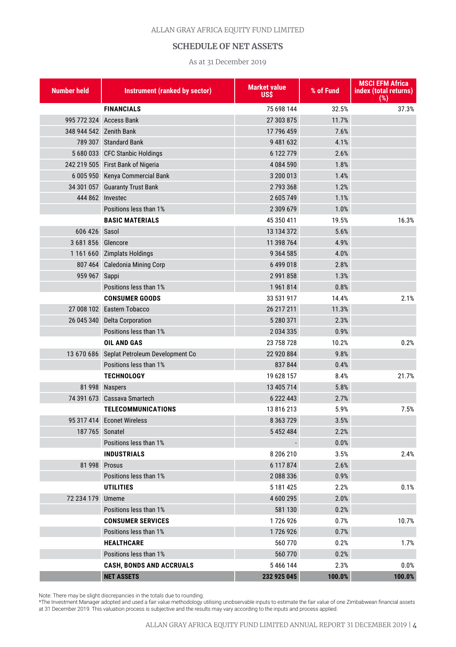### **SCHEDULE OF NET ASSETS**

As at 31 December 2019

| <b>Number held</b>      | Instrument (ranked by sector)              | <b>Market value</b><br>USS | % of Fund | <b>MSCI EFM Africa</b><br>index (total returns)<br>(%) |
|-------------------------|--------------------------------------------|----------------------------|-----------|--------------------------------------------------------|
|                         | <b>FINANCIALS</b>                          | 75 698 144                 | 32.5%     | 37.3%                                                  |
|                         | 995 772 324 Access Bank                    | 27 303 875                 | 11.7%     |                                                        |
| 348 944 542 Zenith Bank |                                            | 17 796 459                 | 7.6%      |                                                        |
|                         | 789 307 Standard Bank                      | 9 481 632                  | 4.1%      |                                                        |
|                         | 5 680 033 CFC Stanbic Holdings             | 6 122 779                  | 2.6%      |                                                        |
|                         | 242 219 505 First Bank of Nigeria          | 4 084 590                  | 1.8%      |                                                        |
|                         | 6 005 950 Kenya Commercial Bank            | 3 200 013                  | 1.4%      |                                                        |
|                         | 34 301 057 Guaranty Trust Bank             | 2793368                    | 1.2%      |                                                        |
|                         | 444 862 Invested                           | 2 605 749                  | 1.1%      |                                                        |
|                         | Positions less than 1%                     | 2 309 679                  | 1.0%      |                                                        |
|                         | <b>BASIC MATERIALS</b>                     | 45 350 411                 | 19.5%     | 16.3%                                                  |
| 606 426 Sasol           |                                            | 13 134 372                 | 5.6%      |                                                        |
| 3 681 856 Glencore      |                                            | 11 398 764                 | 4.9%      |                                                        |
|                         | 1 161 660 Zimplats Holdings                | 9 3 6 4 5 8 5              | 4.0%      |                                                        |
|                         | 807 464 Caledonia Mining Corp              | 6 499 018                  | 2.8%      |                                                        |
| 959 967 Sappi           |                                            | 2 991 858                  | 1.3%      |                                                        |
|                         | Positions less than 1%                     | 1961814                    | 0.8%      |                                                        |
|                         | <b>CONSUMER GOODS</b>                      | 33 531 917                 | 14.4%     | 2.1%                                                   |
|                         | 27 008 102 Eastern Tobacco                 | 26 217 211                 | 11.3%     |                                                        |
|                         | 26 045 340 Delta Corporation               | 5 280 371                  | 2.3%      |                                                        |
|                         | Positions less than 1%                     | 2034335                    | 0.9%      |                                                        |
|                         | <b>OIL AND GAS</b>                         | 23 758 728                 | 10.2%     | 0.2%                                                   |
|                         | 13 670 686 Seplat Petroleum Development Co | 22 920 884                 | 9.8%      |                                                        |
|                         | Positions less than 1%                     | 837844                     | 0.4%      |                                                        |
|                         | <b>TECHNOLOGY</b>                          | 19 628 157                 | 8.4%      | 21.7%                                                  |
| 81998                   | <b>Naspers</b>                             | 13 405 714                 | 5.8%      |                                                        |
|                         | 74 391 673 Cassava Smartech                | 6 222 443                  | 2.7%      |                                                        |
|                         | <b>TELECOMMUNICATIONS</b>                  | 13 816 213                 | 5.9%      | 7.5%                                                   |
|                         | 95 317 414 Econet Wireless                 | 8 3 6 3 7 2 9              | 3.5%      |                                                        |
| 187 765 Sonatel         |                                            | 5452484                    | 2.2%      |                                                        |
|                         | Positions less than 1%                     |                            | 0.0%      |                                                        |
|                         | <b>INDUSTRIALS</b>                         | 8 206 210                  | 3.5%      | 2.4%                                                   |
| 81 998                  | Prosus                                     | 6 117 874                  | 2.6%      |                                                        |
|                         | Positions less than 1%                     | 2 088 336                  | 0.9%      |                                                        |
|                         | <b>UTILITIES</b>                           | 5 181 425                  | 2.2%      | 0.1%                                                   |
| 72 234 179 Umeme        |                                            | 4 600 295                  | 2.0%      |                                                        |
|                         | Positions less than 1%                     | 581 130                    | 0.2%      |                                                        |
|                         | <b>CONSUMER SERVICES</b>                   | 1726926                    | 0.7%      | 10.7%                                                  |
|                         | Positions less than 1%                     | 1726926                    | 0.7%      |                                                        |
|                         | <b>HEALTHCARE</b>                          | 560 770                    | 0.2%      | 1.7%                                                   |
|                         | Positions less than 1%                     | 560 770                    | 0.2%      |                                                        |
|                         | <b>CASH, BONDS AND ACCRUALS</b>            | 5466144                    | 2.3%      | 0.0%                                                   |
|                         | <b>NET ASSETS</b>                          | 232 925 045                | 100.0%    | 100.0%                                                 |

Note: There may be slight discrepancies in the totals due to rounding.<br>\*The Investment Manager adopted and used a fair value methodology utilising unobservable inputs to estimate the fair value of one Zimbabwean financial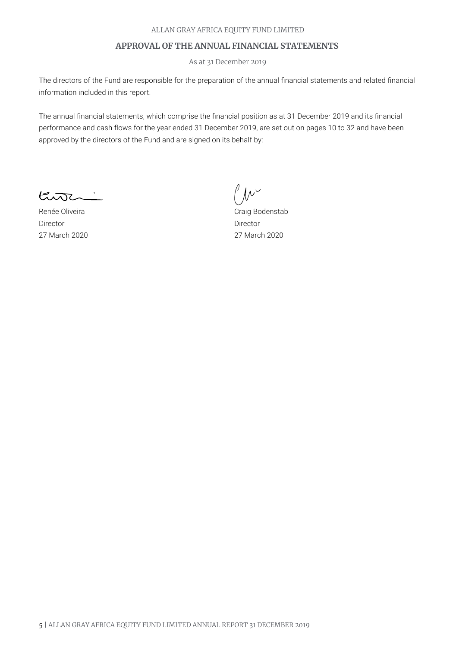# **APPROVAL OF THE ANNUAL FINANCIAL STATEMENTS**

As at 31 December 2019

The directors of the Fund are responsible for the preparation of the annual financial statements and related financial information included in this report.

The annual financial statements, which comprise the financial position as at 31 December 2019 and its financial performance and cash flows for the year ended 31 December 2019, are set out on pages 10 to 32 and have been approved by the directors of the Fund and are signed on its behalf by:

Car

Renée Oliveira Director 27 March 2020

 $\mathcal{N}^{\vee}$ 

Craig Bodenstab Director 27 March 2020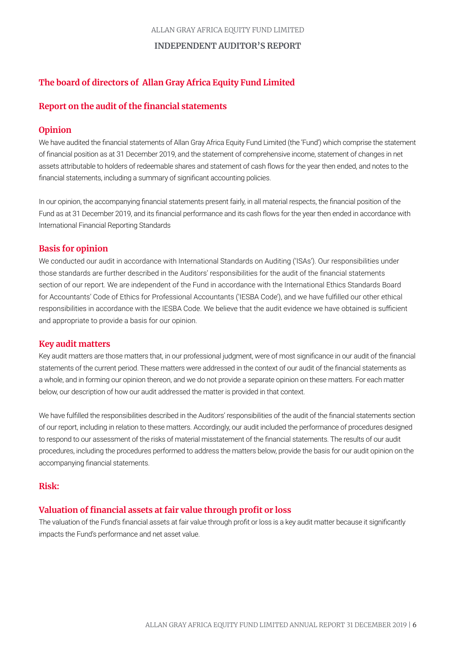#### **INDEPENDENT AUDITOR'S REPORT**

# **The board of directors of Allan Gray Africa Equity Fund Limited**

# **Report on the audit of the financial statements**

## **Opinion**

We have audited the financial statements of Allan Gray Africa Equity Fund Limited (the 'Fund') which comprise the statement of financial position as at 31 December 2019, and the statement of comprehensive income, statement of changes in net assets attributable to holders of redeemable shares and statement of cash flows for the year then ended, and notes to the financial statements, including a summary of significant accounting policies.

In our opinion, the accompanying financial statements present fairly, in all material respects, the financial position of the Fund as at 31 December 2019, and its financial performance and its cash flows for the year then ended in accordance with International Financial Reporting Standards

# **Basis for opinion**

We conducted our audit in accordance with International Standards on Auditing ('ISAs'). Our responsibilities under those standards are further described in the Auditors' responsibilities for the audit of the financial statements section of our report. We are independent of the Fund in accordance with the International Ethics Standards Board for Accountants' Code of Ethics for Professional Accountants ('IESBA Code'), and we have fulfilled our other ethical responsibilities in accordance with the IESBA Code. We believe that the audit evidence we have obtained is sufficient and appropriate to provide a basis for our opinion.

#### **Key audit matters**

Key audit matters are those matters that, in our professional judgment, were of most significance in our audit of the financial statements of the current period. These matters were addressed in the context of our audit of the financial statements as a whole, and in forming our opinion thereon, and we do not provide a separate opinion on these matters. For each matter below, our description of how our audit addressed the matter is provided in that context.

We have fulfilled the responsibilities described in the Auditors' responsibilities of the audit of the financial statements section of our report, including in relation to these matters. Accordingly, our audit included the performance of procedures designed to respond to our assessment of the risks of material misstatement of the financial statements. The results of our audit procedures, including the procedures performed to address the matters below, provide the basis for our audit opinion on the accompanying financial statements.

### **Risk:**

# **Valuation of financial assets at fair value through profit or loss**

The valuation of the Fund's financial assets at fair value through profit or loss is a key audit matter because it significantly impacts the Fund's performance and net asset value.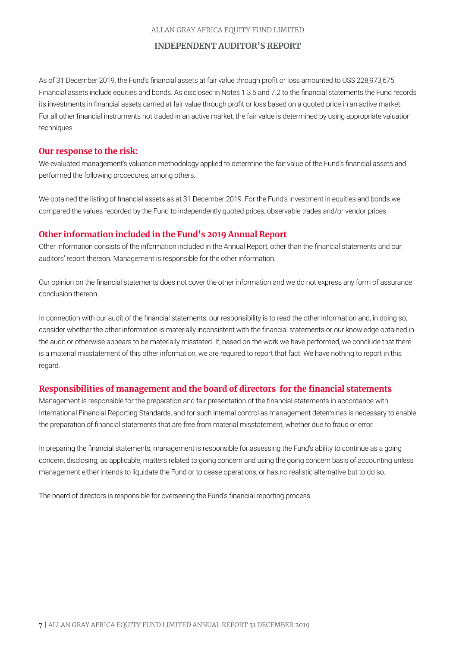### **INDEPENDENT AUDITOR'S REPORT**

As of 31 December 2019, the Fund's financial assets at fair value through profit or loss amounted to US\$ 228,973,675. Financial assets include equities and bonds. As disclosed in Notes 1.3.6 and 7.2 to the financial statements the Fund records its investments in financial assets carried at fair value through profit or loss based on a quoted price in an active market. For all other financial instruments not traded in an active market, the fair value is determined by using appropriate valuation techniques.

#### **Our response to the risk:**

We evaluated management's valuation methodology applied to determine the fair value of the Fund's financial assets and performed the following procedures, among others.

We obtained the listing of financial assets as at 31 December 2019. For the Fund's investment in equities and bonds we compared the values recorded by the Fund to independently quoted prices, observable trades and/or vendor prices.

### **Other information included in the Fund's 2019 Annual Report**

Other information consists of the information included in the Annual Report, other than the financial statements and our auditors' report thereon. Management is responsible for the other information.

Our opinion on the financial statements does not cover the other information and we do not express any form of assurance conclusion thereon.

In connection with our audit of the financial statements, our responsibility is to read the other information and, in doing so, consider whether the other information is materially inconsistent with the financial statements or our knowledge obtained in the audit or otherwise appears to be materially misstated. If, based on the work we have performed, we conclude that there is a material misstatement of this other information, we are required to report that fact. We have nothing to report in this regard.

### **Responsibilities of management and the board of directors for the financial statements**

Management is responsible for the preparation and fair presentation of the financial statements in accordance with International Financial Reporting Standards, and for such internal control as management determines is necessary to enable the preparation of financial statements that are free from material misstatement, whether due to fraud or error.

In preparing the financial statements, management is responsible for assessing the Fund's ability to continue as a going concern, disclosing, as applicable, matters related to going concern and using the going concern basis of accounting unless management either intends to liquidate the Fund or to cease operations, or has no realistic alternative but to do so.

The board of directors is responsible for overseeing the Fund's financial reporting process.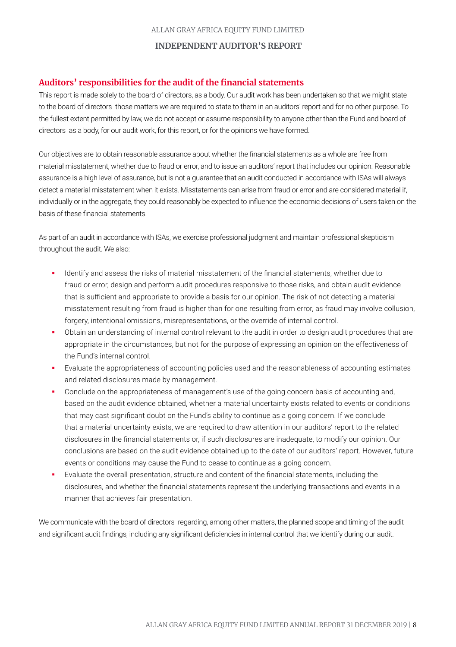### **INDEPENDENT AUDITOR'S REPORT**

### **Auditors' responsibilities for the audit of the financial statements**

This report is made solely to the board of directors, as a body. Our audit work has been undertaken so that we might state to the board of directors those matters we are required to state to them in an auditors' report and for no other purpose. To the fullest extent permitted by law, we do not accept or assume responsibility to anyone other than the Fund and board of directors as a body, for our audit work, for this report, or for the opinions we have formed.

Our objectives are to obtain reasonable assurance about whether the financial statements as a whole are free from material misstatement, whether due to fraud or error, and to issue an auditors' report that includes our opinion. Reasonable assurance is a high level of assurance, but is not a guarantee that an audit conducted in accordance with ISAs will always detect a material misstatement when it exists. Misstatements can arise from fraud or error and are considered material if, individually or in the aggregate, they could reasonably be expected to influence the economic decisions of users taken on the basis of these financial statements.

As part of an audit in accordance with ISAs, we exercise professional judgment and maintain professional skepticism throughout the audit. We also:

- **IDENTIFY And assess the risks of material misstatement of the financial statements, whether due to right** fraud or error, design and perform audit procedures responsive to those risks, and obtain audit evidence that is sufficient and appropriate to provide a basis for our opinion. The risk of not detecting a material misstatement resulting from fraud is higher than for one resulting from error, as fraud may involve collusion, forgery, intentional omissions, misrepresentations, or the override of internal control.
- Obtain an understanding of internal control relevant to the audit in order to design audit procedures that are appropriate in the circumstances, but not for the purpose of expressing an opinion on the effectiveness of the Fund's internal control.
- Evaluate the appropriateness of accounting policies used and the reasonableness of accounting estimates and related disclosures made by management.
- Conclude on the appropriateness of management's use of the going concern basis of accounting and, based on the audit evidence obtained, whether a material uncertainty exists related to events or conditions that may cast significant doubt on the Fund's ability to continue as a going concern. If we conclude that a material uncertainty exists, we are required to draw attention in our auditors' report to the related disclosures in the financial statements or, if such disclosures are inadequate, to modify our opinion. Our conclusions are based on the audit evidence obtained up to the date of our auditors' report. However, future events or conditions may cause the Fund to cease to continue as a going concern.
- Evaluate the overall presentation, structure and content of the financial statements, including the disclosures, and whether the financial statements represent the underlying transactions and events in a manner that achieves fair presentation.

We communicate with the board of directors regarding, among other matters, the planned scope and timing of the audit and significant audit findings, including any significant deficiencies in internal control that we identify during our audit.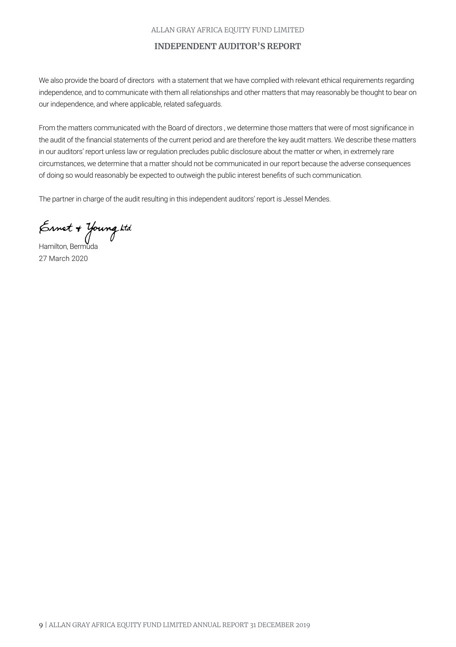# **INDEPENDENT AUDITOR'S REPORT**

We also provide the board of directors with a statement that we have complied with relevant ethical requirements regarding independence, and to communicate with them all relationships and other matters that may reasonably be thought to bear on our independence, and where applicable, related safeguards.

From the matters communicated with the Board of directors , we determine those matters that were of most significance in the audit of the financial statements of the current period and are therefore the key audit matters. We describe these matters in our auditors' report unless law or regulation precludes public disclosure about the matter or when, in extremely rare circumstances, we determine that a matter should not be communicated in our report because the adverse consequences of doing so would reasonably be expected to outweigh the public interest benefits of such communication.

The partner in charge of the audit resulting in this independent auditors' report is Jessel Mendes.

Ermet + Young ktd

27 March 2020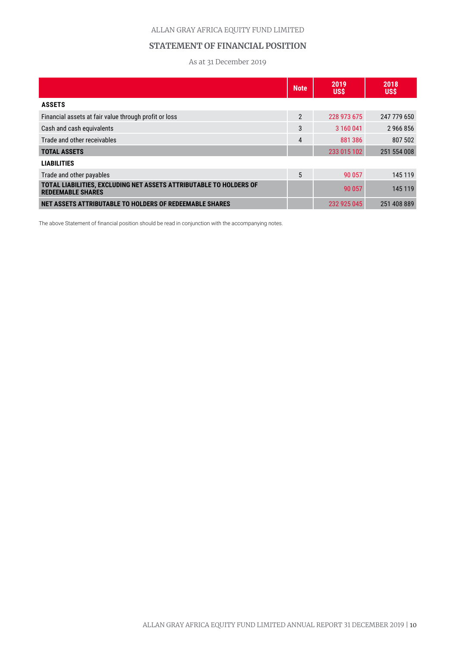# **STATEMENT OF FINANCIAL POSITION**

As at 31 December 2019

|                                                                                                | <b>Note</b>    | 2019<br><b>US\$</b> | 2018<br><b>US\$</b> |
|------------------------------------------------------------------------------------------------|----------------|---------------------|---------------------|
| <b>ASSETS</b>                                                                                  |                |                     |                     |
| Financial assets at fair value through profit or loss                                          | $\overline{2}$ | 228 973 675         | 247 779 650         |
| Cash and cash equivalents                                                                      | 3              | 3 160 041           | 2966856             |
| Trade and other receivables                                                                    | 4              | 881 386             | 807 502             |
| <b>TOTAL ASSETS</b>                                                                            |                | 233 015 102         | 251 554 008         |
| <b>LIABILITIES</b>                                                                             |                |                     |                     |
| Trade and other payables                                                                       | 5              | 90 057              | 145 119             |
| TOTAL LIABILITIES. EXCLUDING NET ASSETS ATTRIBUTABLE TO HOLDERS OF<br><b>REDEEMABLE SHARES</b> |                | 90 057              | 145 119             |
| NET ASSETS ATTRIBUTABLE TO HOLDERS OF REDEEMABLE SHARES                                        |                | 232 925 045         | 251 408 889         |

The above Statement of financial position should be read in conjunction with the accompanying notes.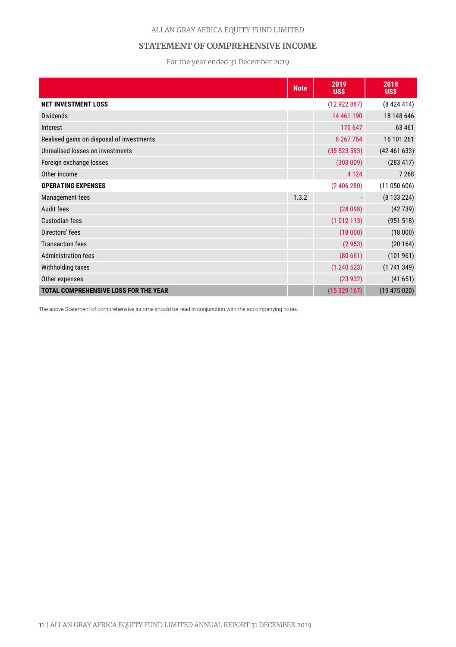### **STATEMENT OF COMPREHENSIVE INCOME**

For the year ended 31 December 2019

|                                           | <b>Note</b> | 2019<br><b>US\$</b> | 2018<br><b>US\$</b> |
|-------------------------------------------|-------------|---------------------|---------------------|
| <b>NET INVESTMENT LOSS</b>                |             | (12922887)          | (8424414)           |
| <b>Dividends</b>                          |             | 14 461 190          | 18 148 646          |
| Interest                                  |             | 170 647             | 63 4 61             |
| Realised gains on disposal of investments |             | 8 267 754           | 16 101 261          |
| Unrealised losses on investments          |             | (35523593)          | (42461633)          |
| Foreign exchange losses                   |             | (303 009)           | (283 417)           |
| Other income                              |             | 4 1 2 4             | 7 2 6 8             |
| <b>OPERATING EXPENSES</b>                 |             | (2406280)           | (11050606)          |
| Management fees                           | 1.3.2       |                     | (8133224)           |
| Audit fees                                |             | (28098)             | (42739)             |
| Custodian fees                            |             | (1012113)           | (951 518)           |
| Directors' fees                           |             | (18000)             | (18000)             |
| <b>Transaction fees</b>                   |             | (2953)              | (20164)             |
| <b>Administration fees</b>                |             | (80661)             | (101961)            |
| Withholding taxes                         |             | (1240523)           | (1741349)           |
| Other expenses                            |             | (23932)             | (41651)             |
| TOTAL COMPREHENSIVE LOSS FOR THE YEAR     |             | (15329167)          | (19 475 020)        |

The above Statement of comprehensive income should be read in conjunction with the accompanying notes.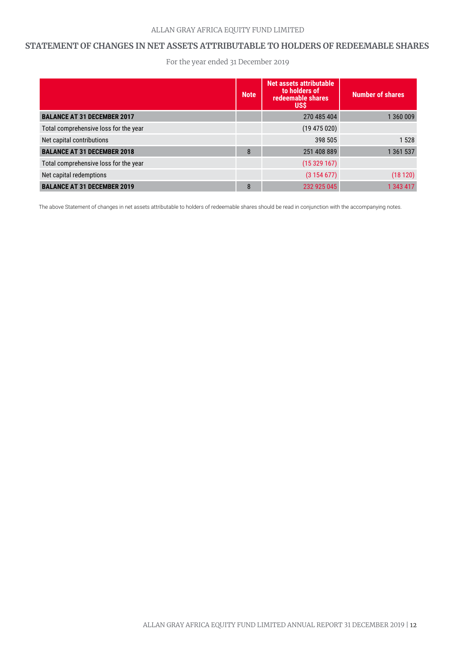#### **STATEMENT OF CHANGES IN NET ASSETS ATTRIBUTABLE TO HOLDERS OF REDEEMABLE SHARES**

For the year ended 31 December 2019

|                                       | <b>Note</b> | Net assets attributable<br>to holders of<br>redeemable shares<br><b>USS</b> | <b>Number of shares</b> |
|---------------------------------------|-------------|-----------------------------------------------------------------------------|-------------------------|
| <b>BALANCE AT 31 DECEMBER 2017</b>    |             | 270 485 404                                                                 | 1 360 009               |
| Total comprehensive loss for the year |             | (19 475 020)                                                                |                         |
| Net capital contributions             |             | 398 505                                                                     | 1 5 2 8                 |
| <b>BALANCE AT 31 DECEMBER 2018</b>    | 8           | 251 408 889                                                                 | 1 361 537               |
| Total comprehensive loss for the year |             | (15329167)                                                                  |                         |
| Net capital redemptions               |             | (3154677)                                                                   | (18120)                 |
| <b>BALANCE AT 31 DECEMBER 2019</b>    | 8           | 232 925 045                                                                 | 1 343 417               |

The above Statement of changes in net assets attributable to holders of redeemable shares should be read in conjunction with the accompanying notes.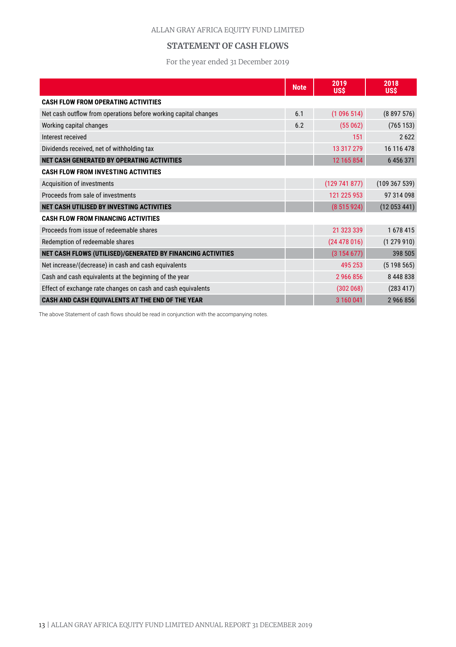# **STATEMENT OF CASH FLOWS**

For the year ended 31 December 2019

|                                                                 | <b>Note</b> | 2019<br><b>USS</b> | 2018<br><b>USS</b> |
|-----------------------------------------------------------------|-------------|--------------------|--------------------|
| <b>CASH FLOW FROM OPERATING ACTIVITIES</b>                      |             |                    |                    |
| Net cash outflow from operations before working capital changes | 6.1         | (1096514)          | (8897576)          |
| Working capital changes                                         | 6.2         | (55062)            | (765153)           |
| Interest received                                               |             | 151                | 2622               |
| Dividends received, net of withholding tax                      |             | 13 317 279         | 16 116 478         |
| NET CASH GENERATED BY OPERATING ACTIVITIES                      |             | 12 165 854         | 6 456 371          |
| <b>CASH FLOW FROM INVESTING ACTIVITIES</b>                      |             |                    |                    |
| Acquisition of investments                                      |             | (129741877)        | (109367539)        |
| Proceeds from sale of investments                               |             | 121 225 953        | 97 314 098         |
| NET CASH UTILISED BY INVESTING ACTIVITIES                       |             | (8515924)          | (12053441)         |
| <b>CASH FLOW FROM FINANCING ACTIVITIES</b>                      |             |                    |                    |
| Proceeds from issue of redeemable shares                        |             | 21 323 339         | 1 678 415          |
| Redemption of redeemable shares                                 |             | (24478016)         | (1279910)          |
| NET CASH FLOWS (UTILISED)/GENERATED BY FINANCING ACTIVITIES     |             | (3154677)          | 398 505            |
| Net increase/(decrease) in cash and cash equivalents            |             | 495 253            | (5198565)          |
| Cash and cash equivalents at the beginning of the year          |             | 2 966 856          | 8 4 4 8 8 3 8      |
| Effect of exchange rate changes on cash and cash equivalents    |             | (302 068)          | (283 417)          |
| CASH AND CASH EQUIVALENTS AT THE END OF THE YEAR                |             | 3 160 041          | 2966856            |

The above Statement of cash flows should be read in conjunction with the accompanying notes.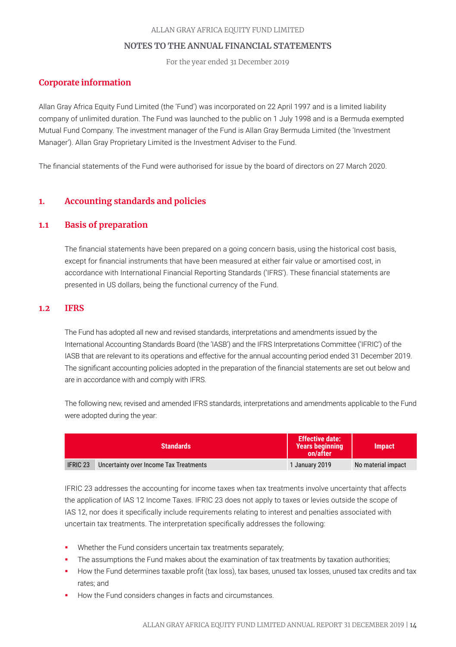#### **NOTES TO THE ANNUAL FINANCIAL STATEMENTS**

For the year ended 31 December 2019

# **Corporate information**

Allan Gray Africa Equity Fund Limited (the 'Fund') was incorporated on 22 April 1997 and is a limited liability company of unlimited duration. The Fund was launched to the public on 1 July 1998 and is a Bermuda exempted Mutual Fund Company. The investment manager of the Fund is Allan Gray Bermuda Limited (the 'Investment Manager'). Allan Gray Proprietary Limited is the Investment Adviser to the Fund.

The financial statements of the Fund were authorised for issue by the board of directors on 27 March 2020.

#### **1. Accounting standards and policies**

# **1.1 Basis of preparation**

The financial statements have been prepared on a going concern basis, using the historical cost basis, except for financial instruments that have been measured at either fair value or amortised cost, in accordance with International Financial Reporting Standards ('IFRS'). These financial statements are presented in US dollars, being the functional currency of the Fund.

### **1.2 IFRS**

The Fund has adopted all new and revised standards, interpretations and amendments issued by the International Accounting Standards Board (the 'IASB') and the IFRS Interpretations Committee ('IFRIC') of the IASB that are relevant to its operations and effective for the annual accounting period ended 31 December 2019. The significant accounting policies adopted in the preparation of the financial statements are set out below and are in accordance with and comply with IFRS.

The following new, revised and amended IFRS standards, interpretations and amendments applicable to the Fund were adopted during the year:

|                 | <b>Standards</b>                       | <b>Effective date:</b><br><b>Years beginning</b><br>on/after | <b>Impact</b>      |
|-----------------|----------------------------------------|--------------------------------------------------------------|--------------------|
| <b>IFRIC 23</b> | Uncertainty over Income Tax Treatments | 1 January 2019                                               | No material impact |

IFRIC 23 addresses the accounting for income taxes when tax treatments involve uncertainty that affects the application of IAS 12 Income Taxes. IFRIC 23 does not apply to taxes or levies outside the scope of IAS 12, nor does it specifically include requirements relating to interest and penalties associated with uncertain tax treatments. The interpretation specifically addresses the following:

- Whether the Fund considers uncertain tax treatments separately;
- The assumptions the Fund makes about the examination of tax treatments by taxation authorities;
- How the Fund determines taxable profit (tax loss), tax bases, unused tax losses, unused tax credits and tax rates; and
- How the Fund considers changes in facts and circumstances.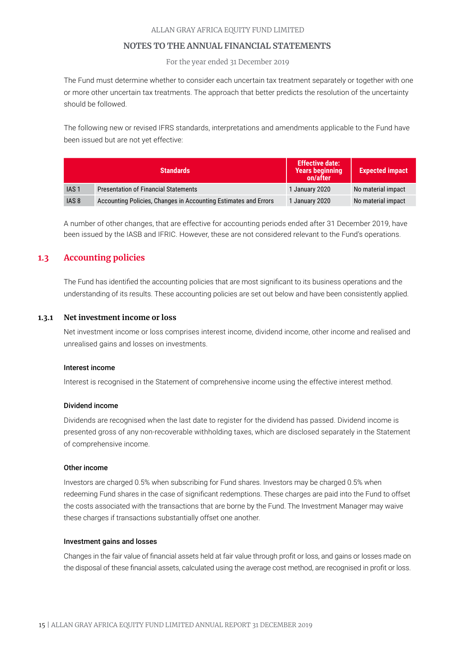#### **NOTES TO THE ANNUAL FINANCIAL STATEMENTS**

For the year ended 31 December 2019

The Fund must determine whether to consider each uncertain tax treatment separately or together with one or more other uncertain tax treatments. The approach that better predicts the resolution of the uncertainty should be followed.

The following new or revised IFRS standards, interpretations and amendments applicable to the Fund have been issued but are not yet effective:

|                  | <b>Standards</b>                                                | <b>Effective date:</b><br><b>Years beginning</b><br>on/after | <b>Expected impact</b> |
|------------------|-----------------------------------------------------------------|--------------------------------------------------------------|------------------------|
| IAS <sub>1</sub> | <b>Presentation of Financial Statements</b>                     | 1 January 2020                                               | No material impact     |
| IAS <sub>8</sub> | Accounting Policies, Changes in Accounting Estimates and Errors | 1 January 2020                                               | No material impact     |

A number of other changes, that are effective for accounting periods ended after 31 December 2019, have been issued by the IASB and IFRIC. However, these are not considered relevant to the Fund's operations.

# **1.3 Accounting policies**

The Fund has identified the accounting policies that are most significant to its business operations and the understanding of its results. These accounting policies are set out below and have been consistently applied.

#### **1.3.1 Net investment income or loss**

Net investment income or loss comprises interest income, dividend income, other income and realised and unrealised gains and losses on investments.

#### Interest income

Interest is recognised in the Statement of comprehensive income using the effective interest method.

#### Dividend income

Dividends are recognised when the last date to register for the dividend has passed. Dividend income is presented gross of any non-recoverable withholding taxes, which are disclosed separately in the Statement of comprehensive income.

#### Other income

Investors are charged 0.5% when subscribing for Fund shares. Investors may be charged 0.5% when redeeming Fund shares in the case of significant redemptions. These charges are paid into the Fund to offset the costs associated with the transactions that are borne by the Fund. The Investment Manager may waive these charges if transactions substantially offset one another.

#### Investment gains and losses

Changes in the fair value of financial assets held at fair value through profit or loss, and gains or losses made on the disposal of these financial assets, calculated using the average cost method, are recognised in profit or loss.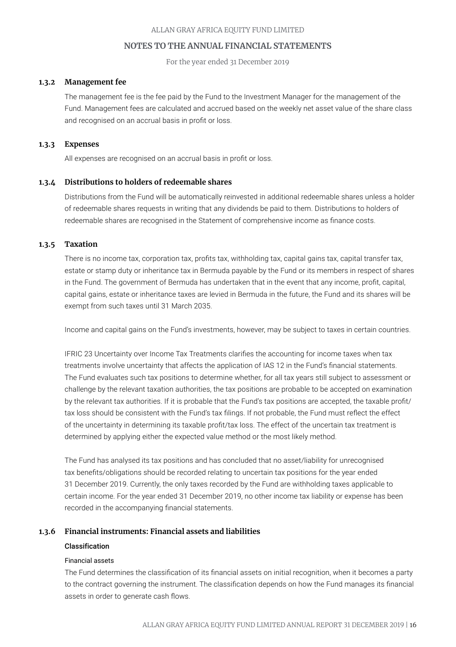For the year ended 31 December 2019

#### **1.3.2 Management fee**

The management fee is the fee paid by the Fund to the Investment Manager for the management of the Fund. Management fees are calculated and accrued based on the weekly net asset value of the share class and recognised on an accrual basis in profit or loss.

#### **1.3.3 Expenses**

All expenses are recognised on an accrual basis in profit or loss.

#### **1.3.4 Distributions to holders of redeemable shares**

Distributions from the Fund will be automatically reinvested in additional redeemable shares unless a holder of redeemable shares requests in writing that any dividends be paid to them. Distributions to holders of redeemable shares are recognised in the Statement of comprehensive income as finance costs.

# **1.3.5 Taxation**

There is no income tax, corporation tax, profits tax, withholding tax, capital gains tax, capital transfer tax, estate or stamp duty or inheritance tax in Bermuda payable by the Fund or its members in respect of shares in the Fund. The government of Bermuda has undertaken that in the event that any income, profit, capital, capital gains, estate or inheritance taxes are levied in Bermuda in the future, the Fund and its shares will be exempt from such taxes until 31 March 2035.

Income and capital gains on the Fund's investments, however, may be subject to taxes in certain countries.

IFRIC 23 Uncertainty over Income Tax Treatments clarifies the accounting for income taxes when tax treatments involve uncertainty that affects the application of IAS 12 in the Fund's financial statements. The Fund evaluates such tax positions to determine whether, for all tax years still subject to assessment or challenge by the relevant taxation authorities, the tax positions are probable to be accepted on examination by the relevant tax authorities. If it is probable that the Fund's tax positions are accepted, the taxable profit/ tax loss should be consistent with the Fund's tax filings. If not probable, the Fund must reflect the effect of the uncertainty in determining its taxable profit/tax loss. The effect of the uncertain tax treatment is determined by applying either the expected value method or the most likely method.

The Fund has analysed its tax positions and has concluded that no asset/liability for unrecognised tax benefits/obligations should be recorded relating to uncertain tax positions for the year ended 31 December 2019. Currently, the only taxes recorded by the Fund are withholding taxes applicable to certain income. For the year ended 31 December 2019, no other income tax liability or expense has been recorded in the accompanying financial statements.

#### **1.3.6 Financial instruments: Financial assets and liabilities**

#### Classification

#### Financial assets

The Fund determines the classification of its financial assets on initial recognition, when it becomes a party to the contract governing the instrument. The classification depends on how the Fund manages its financial assets in order to generate cash flows.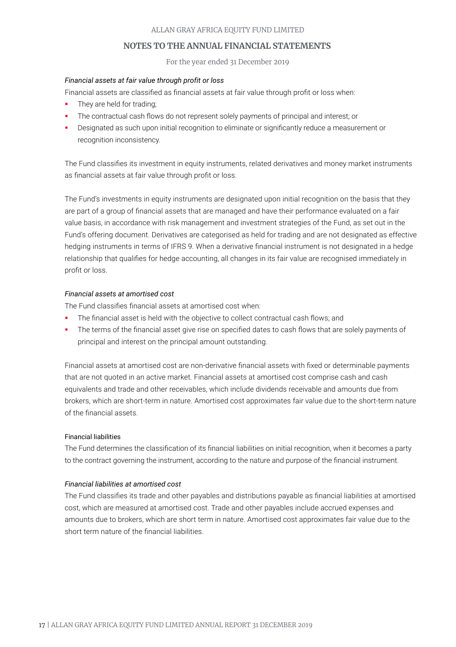### **NOTES TO THE ANNUAL FINANCIAL STATEMENTS**

For the year ended 31 December 2019

# *Financial assets at fair value through profit or loss*

Financial assets are classified as financial assets at fair value through profit or loss when:

- They are held for trading;
- The contractual cash flows do not represent solely payments of principal and interest; or
- Designated as such upon initial recognition to eliminate or significantly reduce a measurement or recognition inconsistency.

The Fund classifies its investment in equity instruments, related derivatives and money market instruments as financial assets at fair value through profit or loss.

The Fund's investments in equity instruments are designated upon initial recognition on the basis that they are part of a group of financial assets that are managed and have their performance evaluated on a fair value basis, in accordance with risk management and investment strategies of the Fund, as set out in the Fund's offering document. Derivatives are categorised as held for trading and are not designated as effective hedging instruments in terms of IFRS 9. When a derivative financial instrument is not designated in a hedge relationship that qualifies for hedge accounting, all changes in its fair value are recognised immediately in profit or loss.

#### *Financial assets at amortised cost*

The Fund classifies financial assets at amortised cost when:

- The financial asset is held with the objective to collect contractual cash flows; and
- The terms of the financial asset give rise on specified dates to cash flows that are solely payments of principal and interest on the principal amount outstanding.

Financial assets at amortised cost are non-derivative financial assets with fixed or determinable payments that are not quoted in an active market. Financial assets at amortised cost comprise cash and cash equivalents and trade and other receivables, which include dividends receivable and amounts due from brokers, which are short-term in nature. Amortised cost approximates fair value due to the short-term nature of the financial assets.

#### Financial liabilities

The Fund determines the classification of its financial liabilities on initial recognition, when it becomes a party to the contract governing the instrument, according to the nature and purpose of the financial instrument.

#### *Financial liabilities at amortised cost*

The Fund classifies its trade and other payables and distributions payable as financial liabilities at amortised cost, which are measured at amortised cost. Trade and other payables include accrued expenses and amounts due to brokers, which are short term in nature. Amortised cost approximates fair value due to the short term nature of the financial liabilities.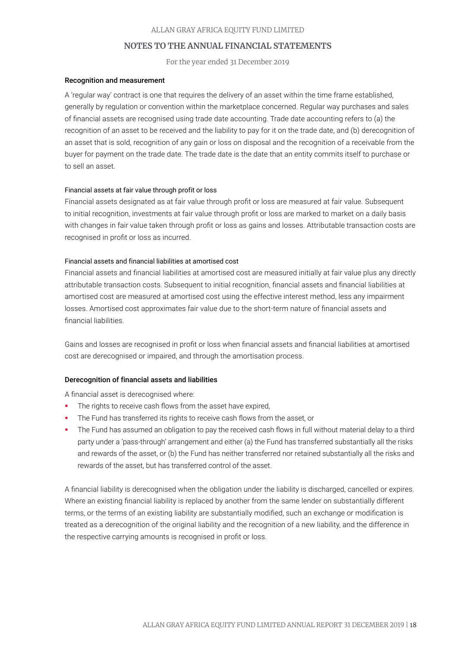For the year ended 31 December 2019

#### Recognition and measurement

A 'regular way' contract is one that requires the delivery of an asset within the time frame established, generally by regulation or convention within the marketplace concerned. Regular way purchases and sales of financial assets are recognised using trade date accounting. Trade date accounting refers to (a) the recognition of an asset to be received and the liability to pay for it on the trade date, and (b) derecognition of an asset that is sold, recognition of any gain or loss on disposal and the recognition of a receivable from the buyer for payment on the trade date. The trade date is the date that an entity commits itself to purchase or to sell an asset.

#### Financial assets at fair value through profit or loss

Financial assets designated as at fair value through profit or loss are measured at fair value. Subsequent to initial recognition, investments at fair value through profit or loss are marked to market on a daily basis with changes in fair value taken through profit or loss as gains and losses. Attributable transaction costs are recognised in profit or loss as incurred.

#### Financial assets and financial liabilities at amortised cost

Financial assets and financial liabilities at amortised cost are measured initially at fair value plus any directly attributable transaction costs. Subsequent to initial recognition, financial assets and financial liabilities at amortised cost are measured at amortised cost using the effective interest method, less any impairment losses. Amortised cost approximates fair value due to the short-term nature of financial assets and financial liabilities.

Gains and losses are recognised in profit or loss when financial assets and financial liabilities at amortised cost are derecognised or impaired, and through the amortisation process.

#### Derecognition of financial assets and liabilities

A financial asset is derecognised where:

- The rights to receive cash flows from the asset have expired,
- The Fund has transferred its rights to receive cash flows from the asset, or
- The Fund has assumed an obligation to pay the received cash flows in full without material delay to a third party under a 'pass-through' arrangement and either (a) the Fund has transferred substantially all the risks and rewards of the asset, or (b) the Fund has neither transferred nor retained substantially all the risks and rewards of the asset, but has transferred control of the asset.

A financial liability is derecognised when the obligation under the liability is discharged, cancelled or expires. Where an existing financial liability is replaced by another from the same lender on substantially different terms, or the terms of an existing liability are substantially modified, such an exchange or modification is treated as a derecognition of the original liability and the recognition of a new liability, and the difference in the respective carrying amounts is recognised in profit or loss.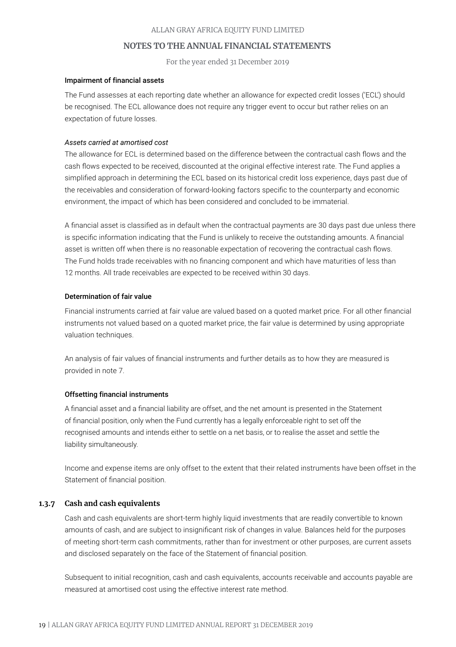#### **NOTES TO THE ANNUAL FINANCIAL STATEMENTS**

For the year ended 31 December 2019

#### Impairment of financial assets

The Fund assesses at each reporting date whether an allowance for expected credit losses ('ECL') should be recognised. The ECL allowance does not require any trigger event to occur but rather relies on an expectation of future losses.

#### *Assets carried at amortised cost*

The allowance for ECL is determined based on the difference between the contractual cash flows and the cash flows expected to be received, discounted at the original effective interest rate. The Fund applies a simplified approach in determining the ECL based on its historical credit loss experience, days past due of the receivables and consideration of forward-looking factors specific to the counterparty and economic environment, the impact of which has been considered and concluded to be immaterial.

A financial asset is classified as in default when the contractual payments are 30 days past due unless there is specific information indicating that the Fund is unlikely to receive the outstanding amounts. A financial asset is written off when there is no reasonable expectation of recovering the contractual cash flows. The Fund holds trade receivables with no financing component and which have maturities of less than 12 months. All trade receivables are expected to be received within 30 days.

#### Determination of fair value

Financial instruments carried at fair value are valued based on a quoted market price. For all other financial instruments not valued based on a quoted market price, the fair value is determined by using appropriate valuation techniques.

An analysis of fair values of financial instruments and further details as to how they are measured is provided in note 7.

#### Offsetting financial instruments

A financial asset and a financial liability are offset, and the net amount is presented in the Statement of financial position, only when the Fund currently has a legally enforceable right to set off the recognised amounts and intends either to settle on a net basis, or to realise the asset and settle the liability simultaneously.

Income and expense items are only offset to the extent that their related instruments have been offset in the Statement of financial position.

#### **1.3.7 Cash and cash equivalents**

Cash and cash equivalents are short-term highly liquid investments that are readily convertible to known amounts of cash, and are subject to insignificant risk of changes in value. Balances held for the purposes of meeting short-term cash commitments, rather than for investment or other purposes, are current assets and disclosed separately on the face of the Statement of financial position.

Subsequent to initial recognition, cash and cash equivalents, accounts receivable and accounts payable are measured at amortised cost using the effective interest rate method.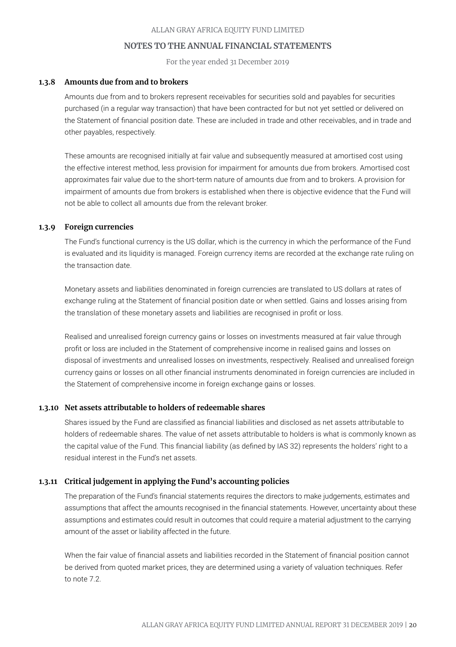For the year ended 31 December 2019

#### **1.3.8 Amounts due from and to brokers**

Amounts due from and to brokers represent receivables for securities sold and payables for securities purchased (in a regular way transaction) that have been contracted for but not yet settled or delivered on the Statement of financial position date. These are included in trade and other receivables, and in trade and other payables, respectively.

These amounts are recognised initially at fair value and subsequently measured at amortised cost using the effective interest method, less provision for impairment for amounts due from brokers. Amortised cost approximates fair value due to the short-term nature of amounts due from and to brokers. A provision for impairment of amounts due from brokers is established when there is objective evidence that the Fund will not be able to collect all amounts due from the relevant broker.

#### **1.3.9 Foreign currencies**

The Fund's functional currency is the US dollar, which is the currency in which the performance of the Fund is evaluated and its liquidity is managed. Foreign currency items are recorded at the exchange rate ruling on the transaction date.

Monetary assets and liabilities denominated in foreign currencies are translated to US dollars at rates of exchange ruling at the Statement of financial position date or when settled. Gains and losses arising from the translation of these monetary assets and liabilities are recognised in profit or loss.

Realised and unrealised foreign currency gains or losses on investments measured at fair value through profit or loss are included in the Statement of comprehensive income in realised gains and losses on disposal of investments and unrealised losses on investments, respectively. Realised and unrealised foreign currency gains or losses on all other financial instruments denominated in foreign currencies are included in the Statement of comprehensive income in foreign exchange gains or losses.

#### **1.3.10 Net assets attributable to holders of redeemable shares**

Shares issued by the Fund are classified as financial liabilities and disclosed as net assets attributable to holders of redeemable shares. The value of net assets attributable to holders is what is commonly known as the capital value of the Fund. This financial liability (as defined by IAS 32) represents the holders' right to a residual interest in the Fund's net assets.

#### **1.3.11 Critical judgement in applying the Fund's accounting policies**

The preparation of the Fund's financial statements requires the directors to make judgements, estimates and assumptions that affect the amounts recognised in the financial statements. However, uncertainty about these assumptions and estimates could result in outcomes that could require a material adjustment to the carrying amount of the asset or liability affected in the future.

When the fair value of financial assets and liabilities recorded in the Statement of financial position cannot be derived from quoted market prices, they are determined using a variety of valuation techniques. Refer to note 7.2.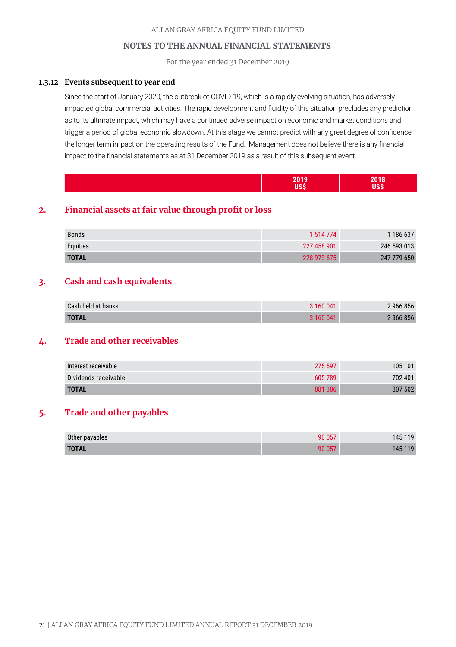For the year ended 31 December 2019

#### **1.3.12 Events subsequent to year end**

Since the start of January 2020, the outbreak of COVID-19, which is a rapidly evolving situation, has adversely impacted global commercial activities. The rapid development and fluidity of this situation precludes any prediction as to its ultimate impact, which may have a continued adverse impact on economic and market conditions and trigger a period of global economic slowdown. At this stage we cannot predict with any great degree of confidence the longer term impact on the operating results of the Fund. Management does not believe there is any financial impact to the financial statements as at 31 December 2019 as a result of this subsequent event.

|--|--|--|--|

# **2. Financial assets at fair value through profit or loss**

| <b>Bonds</b> | 1 514 774   | 1 186 637   |
|--------------|-------------|-------------|
| Equities     | 227 458 901 | 246 593 013 |
| <b>TOTAL</b> | 228 973 675 | 247 779 650 |

# **3. Cash and cash equivalents**

| Cash held at banks | 3 160 041 | 2966856 |
|--------------------|-----------|---------|
| <b>TOTAL</b>       | 3 160 041 | 2966856 |

# **4. Trade and other receivables**

| $\blacksquare$ Interest receivable | 275 597 | 105 101 |
|------------------------------------|---------|---------|
| Dividends receivable               | 605789  | 702 401 |
| <b>TOTAL</b>                       | 881 386 | 807 502 |

### **5. Trade and other payables**

| Other payables | 90 057 | 145 119 |
|----------------|--------|---------|
| <b>TOTAL</b>   | 90 057 | 145 119 |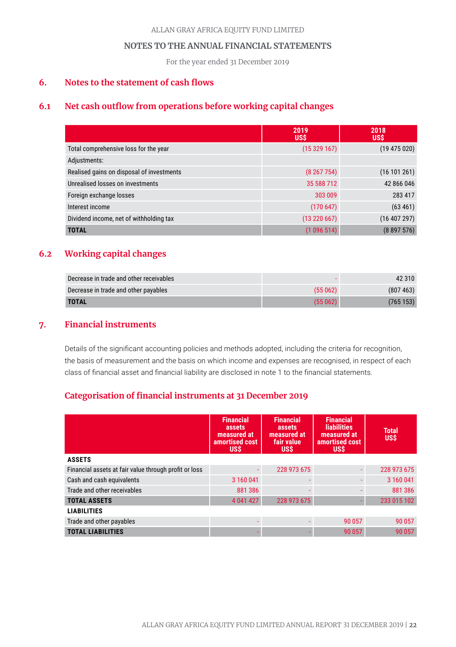For the year ended 31 December 2019

# **6. Notes to the statement of cash flows**

# **6.1 Net cash outflow from operations before working capital changes**

|                                           | 2019<br>US\$ | 2018<br><b>US\$</b> |
|-------------------------------------------|--------------|---------------------|
| Total comprehensive loss for the year     | (15329167)   | (19 475 020)        |
| Adjustments:                              |              |                     |
| Realised gains on disposal of investments | (8267754)    | (16101261)          |
| Unrealised losses on investments          | 35 588 712   | 42 866 046          |
| Foreign exchange losses                   | 303 009      | 283 417             |
| Interest income                           | (170647)     | (63461)             |
| Dividend income, net of withholding tax   | (13 220 667) | (16 407 297)        |
| <b>TOTAL</b>                              | (1096514)    | (8897576)           |

# **6.2 Working capital changes**

| Decrease in trade and other receivables |         | 42 310   |
|-----------------------------------------|---------|----------|
| Decrease in trade and other payables    | (55062) | (807463) |
| <b>TOTAL</b>                            | (55062) | (765153) |

# **7. Financial instruments**

Details of the significant accounting policies and methods adopted, including the criteria for recognition, the basis of measurement and the basis on which income and expenses are recognised, in respect of each class of financial asset and financial liability are disclosed in note 1 to the financial statements.

# **Categorisation of financial instruments at 31 December 2019**

|                                                       | <b>Financial</b><br>assets<br>measured at<br>amortised cost<br><b>USS</b> | <b>Financial</b><br>assets<br>measured at<br>fair value.<br><b>USS</b> | <b>Financial</b><br><b>liabilities</b><br>measured at<br>amortised cost<br><b>USS</b> | <b>Total</b><br><b>US\$</b> |
|-------------------------------------------------------|---------------------------------------------------------------------------|------------------------------------------------------------------------|---------------------------------------------------------------------------------------|-----------------------------|
| <b>ASSETS</b>                                         |                                                                           |                                                                        |                                                                                       |                             |
| Financial assets at fair value through profit or loss |                                                                           | 228 973 675                                                            |                                                                                       | 228 973 675                 |
| Cash and cash equivalents                             | 3 160 041                                                                 |                                                                        |                                                                                       | 3 160 041                   |
| Trade and other receivables                           | 881 386                                                                   |                                                                        |                                                                                       | 881 386                     |
| <b>TOTAL ASSETS</b>                                   | 4 041 427                                                                 | 228 973 675                                                            |                                                                                       | 233 015 102                 |
| <b>LIABILITIES</b>                                    |                                                                           |                                                                        |                                                                                       |                             |
| Trade and other payables                              |                                                                           |                                                                        | 90 057                                                                                | 90 057                      |
| <b>TOTAL LIABILITIES</b>                              |                                                                           |                                                                        | 90 057                                                                                | 90 057                      |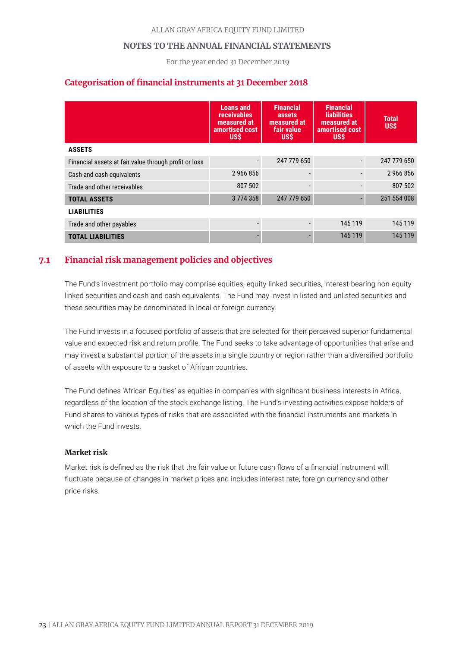### **NOTES TO THE ANNUAL FINANCIAL STATEMENTS**

For the year ended 31 December 2019

# **Categorisation of financial instruments at 31 December 2018**

|                                                       | <b>Loans and</b><br><b>receivables</b><br>measured at<br>amortised cost<br><b>US\$</b> | <b>Financial</b><br>assets<br>measured at<br>fair value<br><b>USS</b> | <b>Financial</b><br><b>liabilities</b><br>measured at<br>amortised cost<br><b>US\$</b> | <b>Total</b><br><b>US\$</b> |
|-------------------------------------------------------|----------------------------------------------------------------------------------------|-----------------------------------------------------------------------|----------------------------------------------------------------------------------------|-----------------------------|
| <b>ASSETS</b>                                         |                                                                                        |                                                                       |                                                                                        |                             |
| Financial assets at fair value through profit or loss |                                                                                        | 247 779 650                                                           |                                                                                        | 247 779 650                 |
| Cash and cash equivalents                             | 2966856                                                                                |                                                                       |                                                                                        | 2966856                     |
| Trade and other receivables                           | 807 502                                                                                |                                                                       |                                                                                        | 807 502                     |
| <b>TOTAL ASSETS</b>                                   | 3 774 358                                                                              | 247 779 650                                                           |                                                                                        | 251 554 008                 |
| <b>LIABILITIES</b>                                    |                                                                                        |                                                                       |                                                                                        |                             |
| Trade and other payables                              |                                                                                        |                                                                       | 145 119                                                                                | 145 119                     |
| <b>TOTAL LIABILITIES</b>                              |                                                                                        |                                                                       | 145 119                                                                                | 145 119                     |

# **7.1 Financial risk management policies and objectives**

The Fund's investment portfolio may comprise equities, equity-linked securities, interest-bearing non-equity linked securities and cash and cash equivalents. The Fund may invest in listed and unlisted securities and these securities may be denominated in local or foreign currency.

The Fund invests in a focused portfolio of assets that are selected for their perceived superior fundamental value and expected risk and return profile. The Fund seeks to take advantage of opportunities that arise and may invest a substantial portion of the assets in a single country or region rather than a diversified portfolio of assets with exposure to a basket of African countries.

The Fund defines 'African Equities' as equities in companies with significant business interests in Africa, regardless of the location of the stock exchange listing. The Fund's investing activities expose holders of Fund shares to various types of risks that are associated with the financial instruments and markets in which the Fund invests.

#### **Market risk**

Market risk is defined as the risk that the fair value or future cash flows of a financial instrument will fluctuate because of changes in market prices and includes interest rate, foreign currency and other price risks.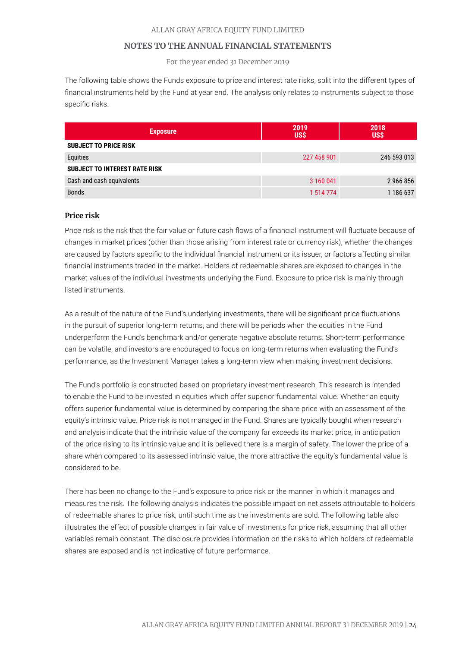For the year ended 31 December 2019

The following table shows the Funds exposure to price and interest rate risks, split into the different types of financial instruments held by the Fund at year end. The analysis only relates to instruments subject to those specific risks.

| <b>Exposure</b>                      | 2019<br><b>US\$</b> | 2018<br><b>US\$</b> |
|--------------------------------------|---------------------|---------------------|
| <b>SUBJECT TO PRICE RISK</b>         |                     |                     |
| Equities                             | 227 458 901         | 246 593 013         |
| <b>SUBJECT TO INTEREST RATE RISK</b> |                     |                     |
| Cash and cash equivalents            | 3 160 041           | 2966856             |
| <b>Bonds</b>                         | 1 514 774           | 1 186 637           |

# **Price risk**

Price risk is the risk that the fair value or future cash flows of a financial instrument will fluctuate because of changes in market prices (other than those arising from interest rate or currency risk), whether the changes are caused by factors specific to the individual financial instrument or its issuer, or factors affecting similar financial instruments traded in the market. Holders of redeemable shares are exposed to changes in the market values of the individual investments underlying the Fund. Exposure to price risk is mainly through listed instruments.

As a result of the nature of the Fund's underlying investments, there will be significant price fluctuations in the pursuit of superior long-term returns, and there will be periods when the equities in the Fund underperform the Fund's benchmark and/or generate negative absolute returns. Short-term performance can be volatile, and investors are encouraged to focus on long-term returns when evaluating the Fund's performance, as the Investment Manager takes a long-term view when making investment decisions.

The Fund's portfolio is constructed based on proprietary investment research. This research is intended to enable the Fund to be invested in equities which offer superior fundamental value. Whether an equity offers superior fundamental value is determined by comparing the share price with an assessment of the equity's intrinsic value. Price risk is not managed in the Fund. Shares are typically bought when research and analysis indicate that the intrinsic value of the company far exceeds its market price, in anticipation of the price rising to its intrinsic value and it is believed there is a margin of safety. The lower the price of a share when compared to its assessed intrinsic value, the more attractive the equity's fundamental value is considered to be.

There has been no change to the Fund's exposure to price risk or the manner in which it manages and measures the risk. The following analysis indicates the possible impact on net assets attributable to holders of redeemable shares to price risk, until such time as the investments are sold. The following table also illustrates the effect of possible changes in fair value of investments for price risk, assuming that all other variables remain constant. The disclosure provides information on the risks to which holders of redeemable shares are exposed and is not indicative of future performance.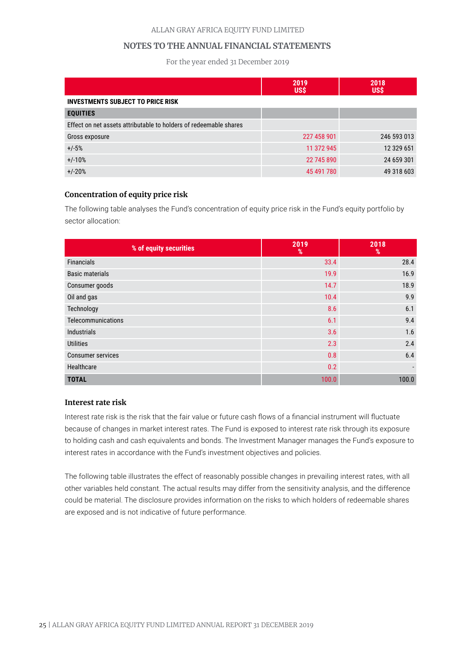### **NOTES TO THE ANNUAL FINANCIAL STATEMENTS**

For the year ended 31 December 2019

|                                                                   | 2019<br><b>US\$</b> | 2018<br><b>USS</b> |
|-------------------------------------------------------------------|---------------------|--------------------|
| <b>INVESTMENTS SUBJECT TO PRICE RISK</b>                          |                     |                    |
| <b>EQUITIES</b>                                                   |                     |                    |
| Effect on net assets attributable to holders of redeemable shares |                     |                    |
| Gross exposure                                                    | 227 458 901         | 246 593 013        |
| $+/-5%$                                                           | 11 372 945          | 12 329 651         |
| $+/-10%$                                                          | 22 745 890          | 24 659 301         |
| $+/-20%$                                                          | 45 491 780          | 49 318 603         |

#### **Concentration of equity price risk**

The following table analyses the Fund's concentration of equity price risk in the Fund's equity portfolio by sector allocation:

| % of equity securities   | 2019<br>% | 2018<br>% |
|--------------------------|-----------|-----------|
| <b>Financials</b>        | 33.4      | 28.4      |
| <b>Basic materials</b>   | 19.9      | 16.9      |
| Consumer goods           | 14.7      | 18.9      |
| Oil and gas              | 10.4      | 9.9       |
| Technology               | 8.6       | 6.1       |
| Telecommunications       | 6.1       | 9.4       |
| <b>Industrials</b>       | 3.6       | 1.6       |
| <b>Utilities</b>         | 2.3       | 2.4       |
| <b>Consumer services</b> | 0.8       | 6.4       |
| Healthcare               | 0.2       | ٠         |
| <b>TOTAL</b>             | 100.0     | 100.0     |

# **Interest rate risk**

Interest rate risk is the risk that the fair value or future cash flows of a financial instrument will fluctuate because of changes in market interest rates. The Fund is exposed to interest rate risk through its exposure to holding cash and cash equivalents and bonds. The Investment Manager manages the Fund's exposure to interest rates in accordance with the Fund's investment objectives and policies.

The following table illustrates the effect of reasonably possible changes in prevailing interest rates, with all other variables held constant. The actual results may differ from the sensitivity analysis, and the difference could be material. The disclosure provides information on the risks to which holders of redeemable shares are exposed and is not indicative of future performance.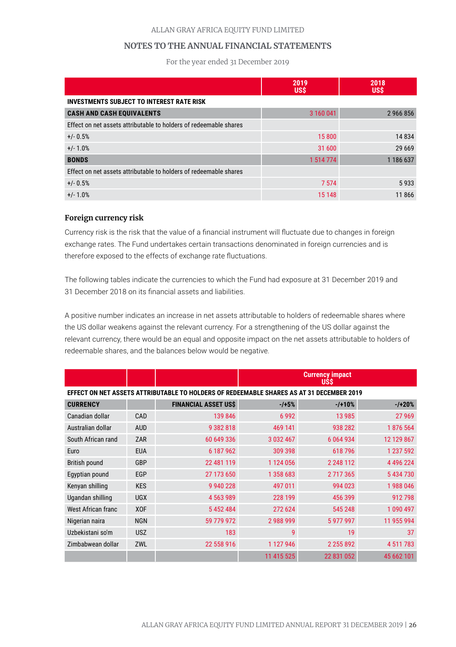### **NOTES TO THE ANNUAL FINANCIAL STATEMENTS**

For the year ended 31 December 2019

|                                                                   | 2019<br><b>US\$</b> | 2018<br><b>US\$</b> |
|-------------------------------------------------------------------|---------------------|---------------------|
| <b>INVESTMENTS SUBJECT TO INTEREST RATE RISK</b>                  |                     |                     |
| <b>CASH AND CASH EQUIVALENTS</b>                                  | 3 160 041           | 2966856             |
| Effect on net assets attributable to holders of redeemable shares |                     |                     |
| $+/- 0.5%$                                                        | 15800               | 14 8 34             |
| $+/-1.0%$                                                         | 31 600              | 29 6 6 9            |
| <b>BONDS</b>                                                      | 1 514 774           | 1 186 637           |
| Effect on net assets attributable to holders of redeemable shares |                     |                     |
| $+/- 0.5%$                                                        | 7 5 7 4             | 5933                |
| $+/- 1.0%$                                                        | 15 148              | 11866               |

#### **Foreign currency risk**

Currency risk is the risk that the value of a financial instrument will fluctuate due to changes in foreign exchange rates. The Fund undertakes certain transactions denominated in foreign currencies and is therefore exposed to the effects of exchange rate fluctuations.

The following tables indicate the currencies to which the Fund had exposure at 31 December 2019 and 31 December 2018 on its financial assets and liabilities.

A positive number indicates an increase in net assets attributable to holders of redeemable shares where the US dollar weakens against the relevant currency. For a strengthening of the US dollar against the relevant currency, there would be an equal and opposite impact on the net assets attributable to holders of redeemable shares, and the balances below would be negative.

|                                                                                          |            |                            | <b>Currency impact</b><br><b>USS</b> |               |               |
|------------------------------------------------------------------------------------------|------------|----------------------------|--------------------------------------|---------------|---------------|
| EFFECT ON NET ASSETS ATTRIBUTABLE TO HOLDERS OF REDEEMABLE SHARES AS AT 31 DECEMBER 2019 |            |                            |                                      |               |               |
| <b>CURRENCY</b>                                                                          |            | <b>FINANCIAL ASSET USS</b> | $-1+5%$                              | $-1 + 10%$    | $-1 + 20%$    |
| Canadian dollar                                                                          | CAD        | 139 846                    | 6992                                 | 13 985        | 27 9 69       |
| Australian dollar                                                                        | <b>AUD</b> | 9 382 818                  | 469 141                              | 938 282       | 1876 564      |
| South African rand                                                                       | ZAR        | 60 649 336                 | 3 0 3 2 4 6 7                        | 6 0 6 4 9 3 4 | 12 129 867    |
| Euro                                                                                     | <b>EUA</b> | 6 187 962                  | 309 398                              | 618796        | 1 237 592     |
| British pound                                                                            | GBP        | 22 481 119                 | 1 1 2 4 0 5 6                        | 2 248 112     | 4 4 9 6 2 2 4 |
| Eqyptian pound                                                                           | EGP        | 27 173 650                 | 1 358 683                            | 2717365       | 5 434 730     |
| Kenyan shilling                                                                          | <b>KES</b> | 9 940 228                  | 497 011                              | 994 023       | 1988046       |
| Ugandan shilling                                                                         | <b>UGX</b> | 4 5 6 3 9 8 9              | 228 199                              | 456 399       | 912798        |
| West African franc                                                                       | <b>XOF</b> | 5452484                    | 272 624                              | 545 248       | 1 090 497     |
| Nigerian naira                                                                           | <b>NGN</b> | 59 779 972                 | 2988999                              | 5977997       | 11 955 994    |
| Uzbekistani so'm                                                                         | <b>USZ</b> | 183                        | 9                                    | 19            | 37            |
| Zimbabwean dollar                                                                        | ZWL        | 22 558 916                 | 1 127 946                            | 2 2 5 5 8 9 2 | 4 511 783     |
|                                                                                          |            |                            | 11 415 525                           | 22 831 052    | 45 662 101    |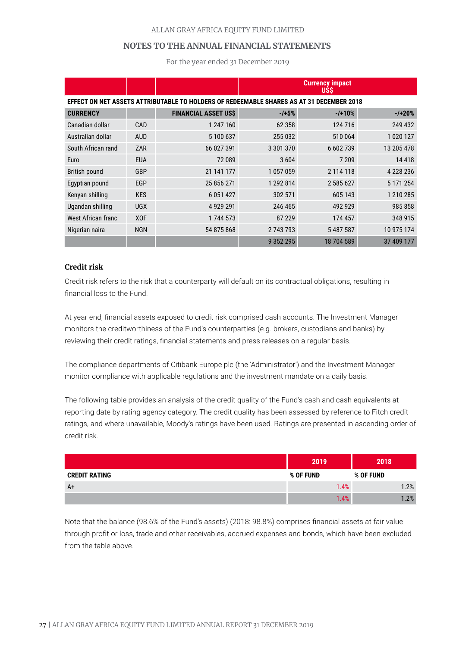For the year ended 31 December 2019

|                                                                                          |            |                            | <b>Currency impact</b><br><b>USS</b> |            |               |
|------------------------------------------------------------------------------------------|------------|----------------------------|--------------------------------------|------------|---------------|
| EFFECT ON NET ASSETS ATTRIBUTABLE TO HOLDERS OF REDEEMABLE SHARES AS AT 31 DECEMBER 2018 |            |                            |                                      |            |               |
| <b>CURRENCY</b>                                                                          |            | <b>FINANCIAL ASSET USS</b> | $-1.5%$                              | $-1 + 10%$ | $-1 + 20%$    |
| Canadian dollar                                                                          | CAD        | 1 247 160                  | 62 3 58                              | 124 716    | 249 432       |
| Australian dollar                                                                        | <b>AUD</b> | 5 100 637                  | 255 032                              | 510 064    | 1 0 20 1 27   |
| South African rand                                                                       | ZAR        | 66 027 391                 | 3 301 370                            | 6 602 739  | 13 205 478    |
| Euro                                                                                     | <b>EUA</b> | 72089                      | 3604                                 | 7 2 0 9    | 14 4 18       |
| <b>British pound</b>                                                                     | GBP        | 21 141 177                 | 1057059                              | 2 114 118  | 4 2 2 8 2 3 6 |
| Egyptian pound                                                                           | EGP        | 25 856 271                 | 1 292 814                            | 2 585 627  | 5 171 254     |
| Kenyan shilling                                                                          | <b>KES</b> | 6 0 51 4 27                | 302 571                              | 605 143    | 1 210 285     |
| Ugandan shilling                                                                         | <b>UGX</b> | 4 9 29 29 1                | 246 465                              | 492 929    | 985 858       |
| West African franc                                                                       | <b>XOF</b> | 1 744 573                  | 87 229                               | 174 457    | 348 915       |
| Nigerian naira                                                                           | <b>NGN</b> | 54 875 868                 | 2743793                              | 5487587    | 10 975 174    |
|                                                                                          |            |                            | 9 352 295                            | 18 704 589 | 37 409 177    |

#### **Credit risk**

Credit risk refers to the risk that a counterparty will default on its contractual obligations, resulting in financial loss to the Fund.

At year end, financial assets exposed to credit risk comprised cash accounts. The Investment Manager monitors the creditworthiness of the Fund's counterparties (e.g. brokers, custodians and banks) by reviewing their credit ratings, financial statements and press releases on a regular basis.

The compliance departments of Citibank Europe plc (the 'Administrator') and the Investment Manager monitor compliance with applicable regulations and the investment mandate on a daily basis.

The following table provides an analysis of the credit quality of the Fund's cash and cash equivalents at reporting date by rating agency category. The credit quality has been assessed by reference to Fitch credit ratings, and where unavailable, Moody's ratings have been used. Ratings are presented in ascending order of credit risk.

|                      | 2019      | 2018      |
|----------------------|-----------|-----------|
| <b>CREDIT RATING</b> | % OF FUND | % OF FUND |
| A+                   | 1.4%      | 1.2%      |
|                      | 1.4%      | 1.2%      |

Note that the balance (98.6% of the Fund's assets) (2018: 98.8%) comprises financial assets at fair value through profit or loss, trade and other receivables, accrued expenses and bonds, which have been excluded from the table above.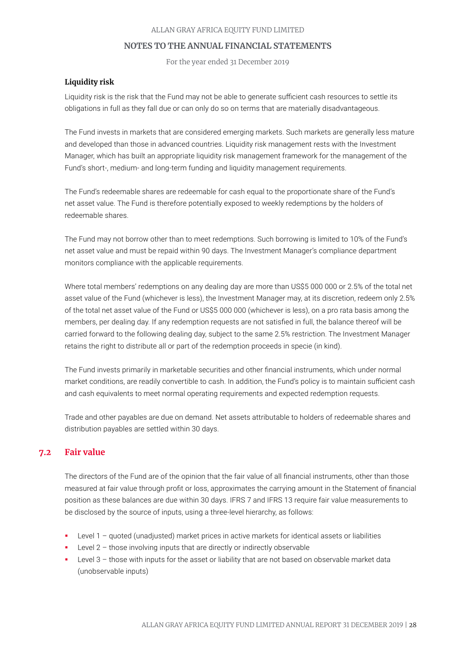### **NOTES TO THE ANNUAL FINANCIAL STATEMENTS**

For the year ended 31 December 2019

### **Liquidity risk**

Liquidity risk is the risk that the Fund may not be able to generate sufficient cash resources to settle its obligations in full as they fall due or can only do so on terms that are materially disadvantageous.

The Fund invests in markets that are considered emerging markets. Such markets are generally less mature and developed than those in advanced countries. Liquidity risk management rests with the Investment Manager, which has built an appropriate liquidity risk management framework for the management of the Fund's short-, medium- and long-term funding and liquidity management requirements.

The Fund's redeemable shares are redeemable for cash equal to the proportionate share of the Fund's net asset value. The Fund is therefore potentially exposed to weekly redemptions by the holders of redeemable shares.

The Fund may not borrow other than to meet redemptions. Such borrowing is limited to 10% of the Fund's net asset value and must be repaid within 90 days. The Investment Manager's compliance department monitors compliance with the applicable requirements.

Where total members' redemptions on any dealing day are more than US\$5 000 000 or 2.5% of the total net asset value of the Fund (whichever is less), the Investment Manager may, at its discretion, redeem only 2.5% of the total net asset value of the Fund or US\$5 000 000 (whichever is less), on a pro rata basis among the members, per dealing day. If any redemption requests are not satisfied in full, the balance thereof will be carried forward to the following dealing day, subject to the same 2.5% restriction. The Investment Manager retains the right to distribute all or part of the redemption proceeds in specie (in kind).

The Fund invests primarily in marketable securities and other financial instruments, which under normal market conditions, are readily convertible to cash. In addition, the Fund's policy is to maintain sufficient cash and cash equivalents to meet normal operating requirements and expected redemption requests.

Trade and other payables are due on demand. Net assets attributable to holders of redeemable shares and distribution payables are settled within 30 days.

# **7.2 Fair value**

The directors of the Fund are of the opinion that the fair value of all financial instruments, other than those measured at fair value through profit or loss, approximates the carrying amount in the Statement of financial position as these balances are due within 30 days. IFRS 7 and IFRS 13 require fair value measurements to be disclosed by the source of inputs, using a three-level hierarchy, as follows:

- Level 1 quoted (unadjusted) market prices in active markets for identical assets or liabilities
- Level 2 those involving inputs that are directly or indirectly observable
- Level 3 those with inputs for the asset or liability that are not based on observable market data (unobservable inputs)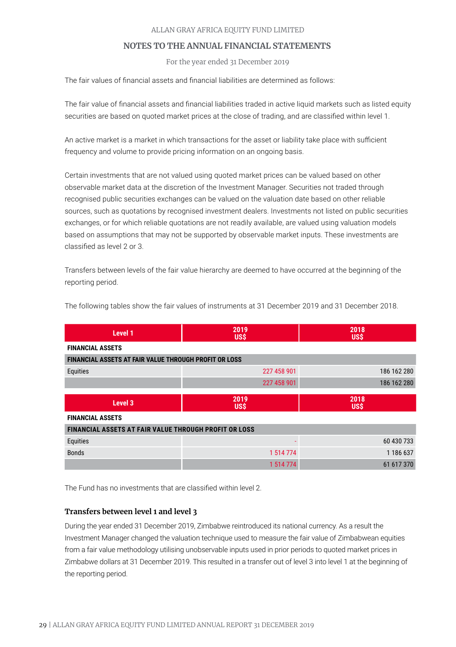### **NOTES TO THE ANNUAL FINANCIAL STATEMENTS**

For the year ended 31 December 2019

The fair values of financial assets and financial liabilities are determined as follows:

The fair value of financial assets and financial liabilities traded in active liquid markets such as listed equity securities are based on quoted market prices at the close of trading, and are classified within level 1.

An active market is a market in which transactions for the asset or liability take place with sufficient frequency and volume to provide pricing information on an ongoing basis.

Certain investments that are not valued using quoted market prices can be valued based on other observable market data at the discretion of the Investment Manager. Securities not traded through recognised public securities exchanges can be valued on the valuation date based on other reliable sources, such as quotations by recognised investment dealers. Investments not listed on public securities exchanges, or for which reliable quotations are not readily available, are valued using valuation models based on assumptions that may not be supported by observable market inputs. These investments are classified as level 2 or 3.

Transfers between levels of the fair value hierarchy are deemed to have occurred at the beginning of the reporting period.

| Level 1                                                      | 2019<br><b>US\$</b> | 2018<br>US\$        |
|--------------------------------------------------------------|---------------------|---------------------|
| <b>FINANCIAL ASSETS</b>                                      |                     |                     |
| <b>FINANCIAL ASSETS AT FAIR VALUE THROUGH PROFIT OR LOSS</b> |                     |                     |
| <b>Equities</b>                                              | 227 458 901         | 186 162 280         |
|                                                              | 227 458 901         | 186 162 280         |
|                                                              |                     |                     |
|                                                              |                     |                     |
| Level 3                                                      | 2019<br><b>US\$</b> | 2018<br><b>US\$</b> |
| <b>FINANCIAL ASSETS</b>                                      |                     |                     |
| <b>FINANCIAL ASSETS AT FAIR VALUE THROUGH PROFIT OR LOSS</b> |                     |                     |
| Equities                                                     |                     | 60 430 733          |
| <b>Bonds</b>                                                 | 1 514 774           | 1 186 637           |

The following tables show the fair values of instruments at 31 December 2019 and 31 December 2018.

The Fund has no investments that are classified within level 2.

#### **Transfers between level 1 and level 3**

During the year ended 31 December 2019, Zimbabwe reintroduced its national currency. As a result the Investment Manager changed the valuation technique used to measure the fair value of Zimbabwean equities from a fair value methodology utilising unobservable inputs used in prior periods to quoted market prices in Zimbabwe dollars at 31 December 2019. This resulted in a transfer out of level 3 into level 1 at the beginning of the reporting period.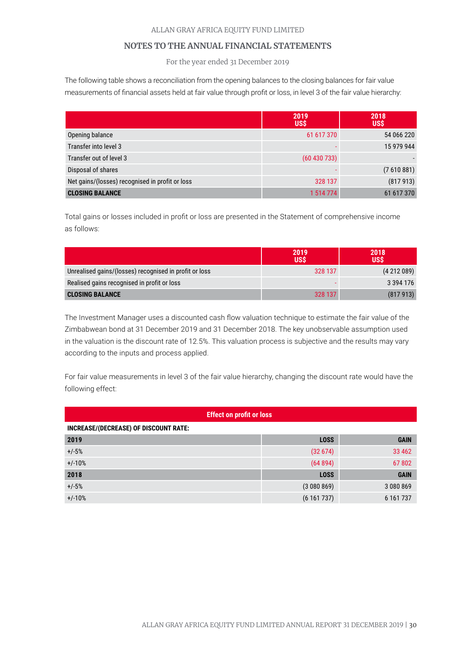### **NOTES TO THE ANNUAL FINANCIAL STATEMENTS**

For the year ended 31 December 2019

The following table shows a reconciliation from the opening balances to the closing balances for fair value measurements of financial assets held at fair value through profit or loss, in level 3 of the fair value hierarchy:

|                                                 | 2019<br><b>US\$</b> | 2018<br><b>US\$</b> |
|-------------------------------------------------|---------------------|---------------------|
| Opening balance                                 | 61 617 370          | 54 066 220          |
| Transfer into level 3                           |                     | 15 979 944          |
| Transfer out of level 3                         | (60430733)          |                     |
| Disposal of shares                              |                     | (7610881)           |
| Net gains/(losses) recognised in profit or loss | 328 137             | (817913)            |
| <b>CLOSING BALANCE</b>                          | 1 514 774           | 61 617 370          |

Total gains or losses included in profit or loss are presented in the Statement of comprehensive income as follows:

|                                                        | 2019<br><b>US\$</b> | 2018<br><b>US\$</b> |
|--------------------------------------------------------|---------------------|---------------------|
| Unrealised gains/(losses) recognised in profit or loss | 328 137             | (4212089)           |
| Realised gains recognised in profit or loss            |                     | 3 3 9 4 1 7 6       |
| <b>CLOSING BALANCE</b>                                 | 328 137             | (817913)            |

The Investment Manager uses a discounted cash flow valuation technique to estimate the fair value of the Zimbabwean bond at 31 December 2019 and 31 December 2018. The key unobservable assumption used in the valuation is the discount rate of 12.5%. This valuation process is subjective and the results may vary according to the inputs and process applied.

For fair value measurements in level 3 of the fair value hierarchy, changing the discount rate would have the following effect:

| <b>Effect on profit or loss</b>       |             |             |  |
|---------------------------------------|-------------|-------------|--|
| INCREASE/(DECREASE) OF DISCOUNT RATE: |             |             |  |
| 2019                                  | <b>LOSS</b> | <b>GAIN</b> |  |
| $+/-5%$                               | (32674)     | 33 4 62     |  |
| $+/-10%$                              | (64894)     | 67802       |  |
| 2018                                  | <b>LOSS</b> | <b>GAIN</b> |  |
| $+/-5%$                               | (3080869)   | 3 080 869   |  |
| $+/-10%$                              | (6161737)   | 6 161 737   |  |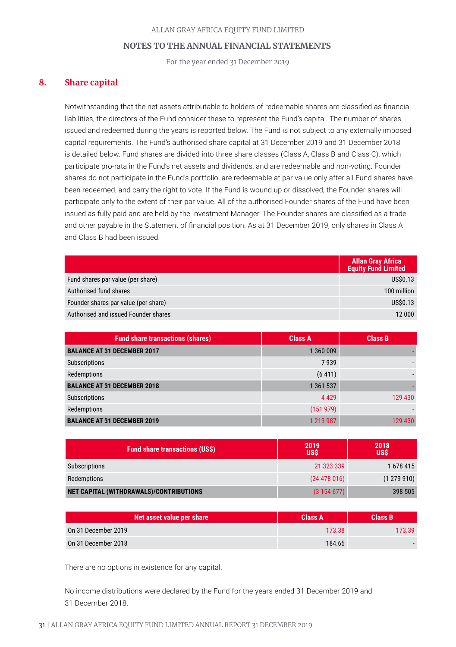#### **NOTES TO THE ANNUAL FINANCIAL STATEMENTS**

For the year ended 31 December 2019

# **8. Share capital**

Notwithstanding that the net assets attributable to holders of redeemable shares are classified as financial liabilities, the directors of the Fund consider these to represent the Fund's capital. The number of shares issued and redeemed during the years is reported below. The Fund is not subject to any externally imposed capital requirements. The Fund's authorised share capital at 31 December 2019 and 31 December 2018 is detailed below. Fund shares are divided into three share classes (Class A, Class B and Class C), which participate pro-rata in the Fund's net assets and dividends, and are redeemable and non-voting. Founder shares do not participate in the Fund's portfolio, are redeemable at par value only after all Fund shares have been redeemed, and carry the right to vote. If the Fund is wound up or dissolved, the Founder shares will participate only to the extent of their par value. All of the authorised Founder shares of the Fund have been issued as fully paid and are held by the Investment Manager. The Founder shares are classified as a trade and other payable in the Statement of financial position. As at 31 December 2019, only shares in Class A and Class B had been issued.

|                                      | <b>Allan Gray Africa</b><br><b>Equity Fund Limited</b> |
|--------------------------------------|--------------------------------------------------------|
| Fund shares par value (per share)    | <b>US\$0.13</b>                                        |
| Authorised fund shares               | 100 million                                            |
| Founder shares par value (per share) | <b>US\$0.13</b>                                        |
| Authorised and issued Founder shares | 12 000                                                 |

| <b>Fund share transactions (shares)</b> | <b>Class A</b> | <b>Class B</b> |
|-----------------------------------------|----------------|----------------|
| <b>BALANCE AT 31 DECEMBER 2017</b>      | 1 360 009      |                |
| Subscriptions                           | 7939           |                |
| Redemptions                             | (6411)         |                |
| <b>BALANCE AT 31 DECEMBER 2018</b>      | 1 361 537      |                |
| Subscriptions                           | 4 4 2 9        | 129 430        |
| Redemptions                             | (151979)       |                |
| <b>BALANCE AT 31 DECEMBER 2019</b>      | 1 213 987      | 129 430        |

| <b>Fund share transactions (US\$)</b>   | 2019<br><b>US\$</b> | 2018<br><b>US\$</b> |
|-----------------------------------------|---------------------|---------------------|
| Subscriptions                           | 21 323 339          | 1 678 415           |
| Redemptions                             | (24478016)          | (1279910)           |
| NET CAPITAL (WITHDRAWALS)/CONTRIBUTIONS | (3154677)           | 398 505             |

| Net asset value per share | <b>Class A</b> | <b>Class B</b> |
|---------------------------|----------------|----------------|
| On 31 December 2019       | 173.38         | 173.39         |
| On 31 December 2018       | 184.65         |                |

There are no options in existence for any capital.

No income distributions were declared by the Fund for the years ended 31 December 2019 and 31 December 2018.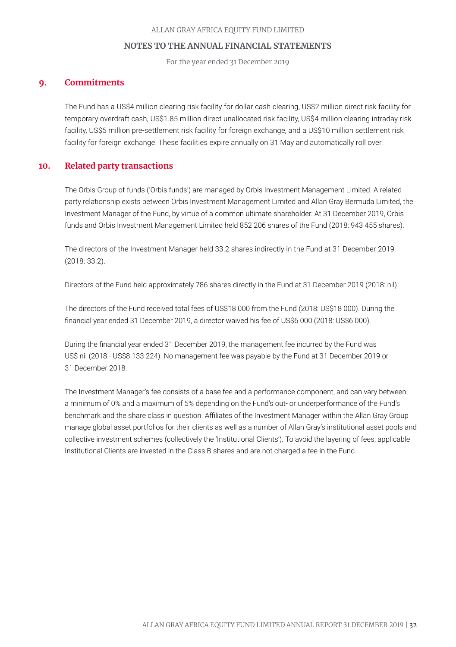#### **NOTES TO THE ANNUAL FINANCIAL STATEMENTS**

For the year ended 31 December 2019

# **9. Commitments**

The Fund has a US\$4 million clearing risk facility for dollar cash clearing, US\$2 million direct risk facility for temporary overdraft cash, US\$1.85 million direct unallocated risk facility, US\$4 million clearing intraday risk facility, US\$5 million pre-settlement risk facility for foreign exchange, and a US\$10 million settlement risk facility for foreign exchange. These facilities expire annually on 31 May and automatically roll over.

# **10. Related party transactions**

The Orbis Group of funds ('Orbis funds') are managed by Orbis Investment Management Limited. A related party relationship exists between Orbis Investment Management Limited and Allan Gray Bermuda Limited, the Investment Manager of the Fund, by virtue of a common ultimate shareholder. At 31 December 2019, Orbis funds and Orbis Investment Management Limited held 852 206 shares of the Fund (2018: 943 455 shares).

The directors of the Investment Manager held 33.2 shares indirectly in the Fund at 31 December 2019 (2018: 33.2).

Directors of the Fund held approximately 786 shares directly in the Fund at 31 December 2019 (2018: nil).

The directors of the Fund received total fees of US\$18 000 from the Fund (2018: US\$18 000). During the financial year ended 31 December 2019, a director waived his fee of US\$6 000 (2018: US\$6 000).

During the financial year ended 31 December 2019, the management fee incurred by the Fund was US\$ nil (2018 - US\$8 133 224). No management fee was payable by the Fund at 31 December 2019 or 31 December 2018.

The Investment Manager's fee consists of a base fee and a performance component, and can vary between a minimum of 0% and a maximum of 5% depending on the Fund's out- or underperformance of the Fund's benchmark and the share class in question. Affiliates of the Investment Manager within the Allan Gray Group manage global asset portfolios for their clients as well as a number of Allan Gray's institutional asset pools and collective investment schemes (collectively the 'Institutional Clients'). To avoid the layering of fees, applicable Institutional Clients are invested in the Class B shares and are not charged a fee in the Fund.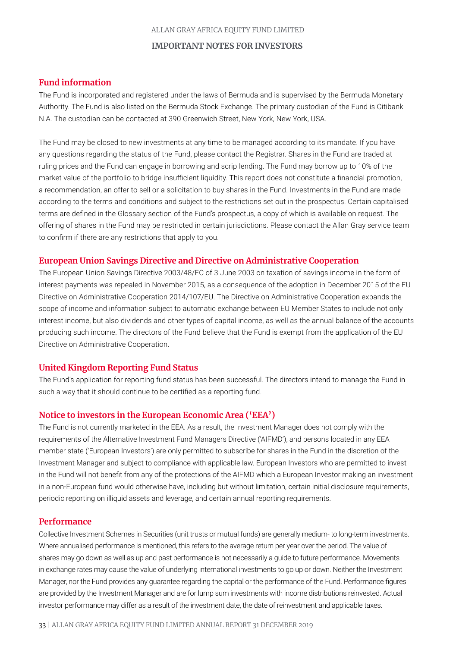#### **IMPORTANT NOTES FOR INVESTORS**

### **Fund information**

The Fund is incorporated and registered under the laws of Bermuda and is supervised by the Bermuda Monetary Authority. The Fund is also listed on the Bermuda Stock Exchange. The primary custodian of the Fund is Citibank N.A. The custodian can be contacted at 390 Greenwich Street, New York, New York, USA.

The Fund may be closed to new investments at any time to be managed according to its mandate. If you have any questions regarding the status of the Fund, please contact the Registrar. Shares in the Fund are traded at ruling prices and the Fund can engage in borrowing and scrip lending. The Fund may borrow up to 10% of the market value of the portfolio to bridge insufficient liquidity. This report does not constitute a financial promotion, a recommendation, an offer to sell or a solicitation to buy shares in the Fund. Investments in the Fund are made according to the terms and conditions and subject to the restrictions set out in the prospectus. Certain capitalised terms are defined in the Glossary section of the Fund's prospectus, a copy of which is available on request. The offering of shares in the Fund may be restricted in certain jurisdictions. Please contact the Allan Gray service team to confirm if there are any restrictions that apply to you.

#### **European Union Savings Directive and Directive on Administrative Cooperation**

The European Union Savings Directive 2003/48/EC of 3 June 2003 on taxation of savings income in the form of interest payments was repealed in November 2015, as a consequence of the adoption in December 2015 of the EU Directive on Administrative Cooperation 2014/107/EU. The Directive on Administrative Cooperation expands the scope of income and information subject to automatic exchange between EU Member States to include not only interest income, but also dividends and other types of capital income, as well as the annual balance of the accounts producing such income. The directors of the Fund believe that the Fund is exempt from the application of the EU Directive on Administrative Cooperation.

# **United Kingdom Reporting Fund Status**

The Fund's application for reporting fund status has been successful. The directors intend to manage the Fund in such a way that it should continue to be certified as a reporting fund.

### **Notice to investors in the European Economic Area ('EEA')**

The Fund is not currently marketed in the EEA. As a result, the Investment Manager does not comply with the requirements of the Alternative Investment Fund Managers Directive ('AIFMD'), and persons located in any EEA member state ('European Investors') are only permitted to subscribe for shares in the Fund in the discretion of the Investment Manager and subject to compliance with applicable law. European Investors who are permitted to invest in the Fund will not benefit from any of the protections of the AIFMD which a European Investor making an investment in a non-European fund would otherwise have, including but without limitation, certain initial disclosure requirements, periodic reporting on illiquid assets and leverage, and certain annual reporting requirements.

### **Performance**

Collective Investment Schemes in Securities (unit trusts or mutual funds) are generally medium- to long-term investments. Where annualised performance is mentioned, this refers to the average return per year over the period. The value of shares may go down as well as up and past performance is not necessarily a guide to future performance. Movements in exchange rates may cause the value of underlying international investments to go up or down. Neither the Investment Manager, nor the Fund provides any guarantee regarding the capital or the performance of the Fund. Performance figures are provided by the Investment Manager and are for lump sum investments with income distributions reinvested. Actual investor performance may differ as a result of the investment date, the date of reinvestment and applicable taxes.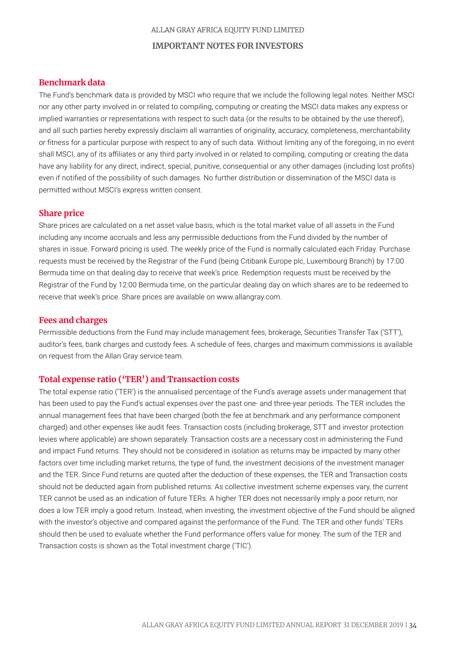# ALLAN GRAY AFRICA EQUITY FUND LIMITED **IMPORTANT NOTES FOR INVESTORS**

# **Benchmark data**

The Fund's benchmark data is provided by MSCI who require that we include the following legal notes. Neither MSCI nor any other party involved in or related to compiling, computing or creating the MSCI data makes any express or implied warranties or representations with respect to such data (or the results to be obtained by the use thereof), and all such parties hereby expressly disclaim all warranties of originality, accuracy, completeness, merchantability or fitness for a particular purpose with respect to any of such data. Without limiting any of the foregoing, in no event shall MSCI, any of its affiliates or any third party involved in or related to compiling, computing or creating the data have any liability for any direct, indirect, special, punitive, consequential or any other damages (including lost profits) even if notified of the possibility of such damages. No further distribution or dissemination of the MSCI data is permitted without MSCI's express written consent.

#### **Share price**

Share prices are calculated on a net asset value basis, which is the total market value of all assets in the Fund including any income accruals and less any permissible deductions from the Fund divided by the number of shares in issue. Forward pricing is used. The weekly price of the Fund is normally calculated each Friday. Purchase requests must be received by the Registrar of the Fund (being Citibank Europe plc, Luxembourg Branch) by 17:00 Bermuda time on that dealing day to receive that week's price. Redemption requests must be received by the Registrar of the Fund by 12:00 Bermuda time, on the particular dealing day on which shares are to be redeemed to receive that week's price. Share prices are available on www.allangray.com.

#### **Fees and charges**

Permissible deductions from the Fund may include management fees, brokerage, Securities Transfer Tax ('STT'), auditor's fees, bank charges and custody fees. A schedule of fees, charges and maximum commissions is available on request from the Allan Gray service team.

### **Total expense ratio ('TER') and Transaction costs**

The total expense ratio ('TER') is the annualised percentage of the Fund's average assets under management that has been used to pay the Fund's actual expenses over the past one- and three-year periods. The TER includes the annual management fees that have been charged (both the fee at benchmark and any performance component charged) and other expenses like audit fees. Transaction costs (including brokerage, STT and investor protection levies where applicable) are shown separately. Transaction costs are a necessary cost in administering the Fund and impact Fund returns. They should not be considered in isolation as returns may be impacted by many other factors over time including market returns, the type of fund, the investment decisions of the investment manager and the TER. Since Fund returns are quoted after the deduction of these expenses, the TER and Transaction costs should not be deducted again from published returns. As collective investment scheme expenses vary, the current TER cannot be used as an indication of future TERs. A higher TER does not necessarily imply a poor return, nor does a low TER imply a good return. Instead, when investing, the investment objective of the Fund should be aligned with the investor's objective and compared against the performance of the Fund. The TER and other funds' TERs should then be used to evaluate whether the Fund performance offers value for money. The sum of the TER and Transaction costs is shown as the Total investment charge ('TIC').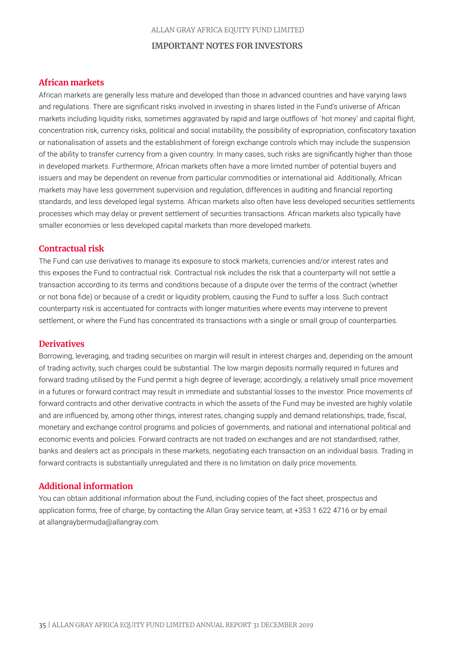#### **IMPORTANT NOTES FOR INVESTORS**

# **African markets**

African markets are generally less mature and developed than those in advanced countries and have varying laws and regulations. There are significant risks involved in investing in shares listed in the Fund's universe of African markets including liquidity risks, sometimes aggravated by rapid and large outflows of `hot money' and capital flight, concentration risk, currency risks, political and social instability, the possibility of expropriation, confiscatory taxation or nationalisation of assets and the establishment of foreign exchange controls which may include the suspension of the ability to transfer currency from a given country. In many cases, such risks are significantly higher than those in developed markets. Furthermore, African markets often have a more limited number of potential buyers and issuers and may be dependent on revenue from particular commodities or international aid. Additionally, African markets may have less government supervision and regulation, differences in auditing and financial reporting standards, and less developed legal systems. African markets also often have less developed securities settlements processes which may delay or prevent settlement of securities transactions. African markets also typically have smaller economies or less developed capital markets than more developed markets.

### **Contractual risk**

The Fund can use derivatives to manage its exposure to stock markets, currencies and/or interest rates and this exposes the Fund to contractual risk. Contractual risk includes the risk that a counterparty will not settle a transaction according to its terms and conditions because of a dispute over the terms of the contract (whether or not bona fide) or because of a credit or liquidity problem, causing the Fund to suffer a loss. Such contract counterparty risk is accentuated for contracts with longer maturities where events may intervene to prevent settlement, or where the Fund has concentrated its transactions with a single or small group of counterparties.

# **Derivatives**

Borrowing, leveraging, and trading securities on margin will result in interest charges and, depending on the amount of trading activity, such charges could be substantial. The low margin deposits normally required in futures and forward trading utilised by the Fund permit a high degree of leverage; accordingly, a relatively small price movement in a futures or forward contract may result in immediate and substantial losses to the investor. Price movements of forward contracts and other derivative contracts in which the assets of the Fund may be invested are highly volatile and are influenced by, among other things, interest rates, changing supply and demand relationships, trade, fiscal, monetary and exchange control programs and policies of governments, and national and international political and economic events and policies. Forward contracts are not traded on exchanges and are not standardised; rather, banks and dealers act as principals in these markets, negotiating each transaction on an individual basis. Trading in forward contracts is substantially unregulated and there is no limitation on daily price movements.

#### **Additional information**

You can obtain additional information about the Fund, including copies of the fact sheet, prospectus and application forms, free of charge, by contacting the Allan Gray service team, at +353 1 622 4716 or by email at allangraybermuda@allangray.com.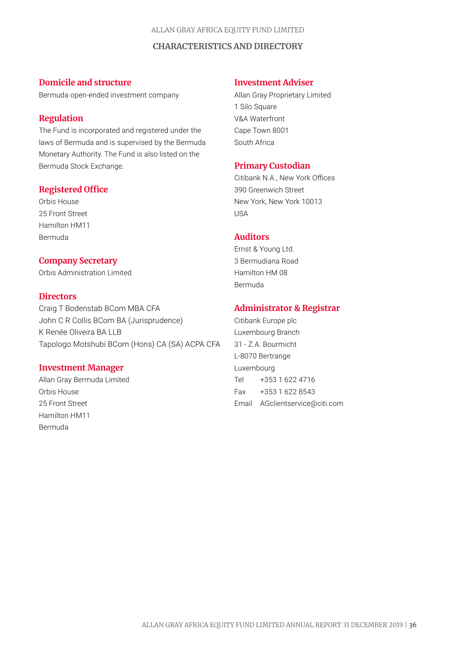#### **CHARACTERISTICS AND DIRECTORY**

### **Domicile and structure**

Bermuda open-ended investment company

# **Regulation**

The Fund is incorporated and registered under the laws of Bermuda and is supervised by the Bermuda Monetary Authority. The Fund is also listed on the Bermuda Stock Exchange.

### **Registered Office**

Orbis House 25 Front Street Hamilton HM11 Bermuda

# **Company Secretary**

Orbis Administration Limited

### **Directors**

Craig T Bodenstab BCom MBA CFA John C R Collis BCom BA (Jurisprudence) K Renée Oliveira BA LLB Tapologo Motshubi BCom (Hons) CA (SA) ACPA CFA

### **Investment Manager**

Allan Gray Bermuda Limited Orbis House 25 Front Street Hamilton HM11 Bermuda

# **Investment Adviser**

Allan Gray Proprietary Limited 1 Silo Square V&A Waterfront Cape Town 8001 South Africa

### **Primary Custodian**

Citibank N.A., New York Offices 390 Greenwich Street New York, New York 10013 USA

### **Auditors**

Ernst & Young Ltd. 3 Bermudiana Road Hamilton HM 08 Bermuda

# **Administrator & Registrar**

Citibank Europe plc Luxembourg Branch 31 - Z.A. Bourmicht L-8070 Bertrange Luxembourg Tel +353 1 622 4716 Fax +353 1 622 8543 Email AGclientservice@citi.com